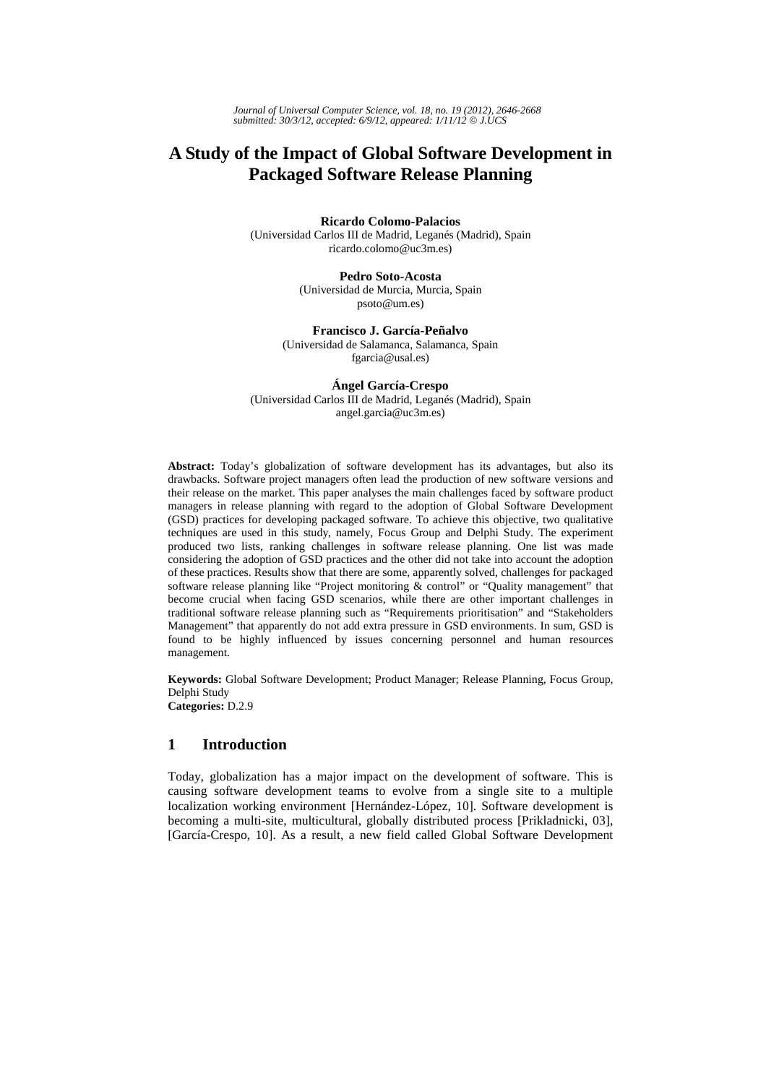# **A Study of the Impact of Global Software Development in Packaged Software Release Planning**

**Ricardo Colomo-Palacios** 

(Universidad Carlos III de Madrid, Leganés (Madrid), Spain ricardo.colomo@uc3m.es)

> **Pedro Soto-Acosta** (Universidad de Murcia, Murcia, Spain psoto@um.es)

**Francisco J. García-Peñalvo**  (Universidad de Salamanca, Salamanca, Spain fgarcia@usal.es)

**Ángel García-Crespo**  (Universidad Carlos III de Madrid, Leganés (Madrid), Spain angel.garcia@uc3m.es)

**Abstract:** Today's globalization of software development has its advantages, but also its drawbacks. Software project managers often lead the production of new software versions and their release on the market. This paper analyses the main challenges faced by software product managers in release planning with regard to the adoption of Global Software Development (GSD) practices for developing packaged software. To achieve this objective, two qualitative techniques are used in this study, namely, Focus Group and Delphi Study. The experiment produced two lists, ranking challenges in software release planning. One list was made considering the adoption of GSD practices and the other did not take into account the adoption of these practices. Results show that there are some, apparently solved, challenges for packaged software release planning like "Project monitoring & control" or "Quality management" that become crucial when facing GSD scenarios, while there are other important challenges in traditional software release planning such as "Requirements prioritisation" and "Stakeholders Management" that apparently do not add extra pressure in GSD environments. In sum, GSD is found to be highly influenced by issues concerning personnel and human resources management.

**Keywords:** Global Software Development; Product Manager; Release Planning, Focus Group, Delphi Study **Categories:** D.2.9

# **1 Introduction**

Today, globalization has a major impact on the development of software. This is causing software development teams to evolve from a single site to a multiple localization working environment [Hernández-López, 10]. Software development is becoming a multi-site, multicultural, globally distributed process [Prikladnicki, 03], [García-Crespo, 10]. As a result, a new field called Global Software Development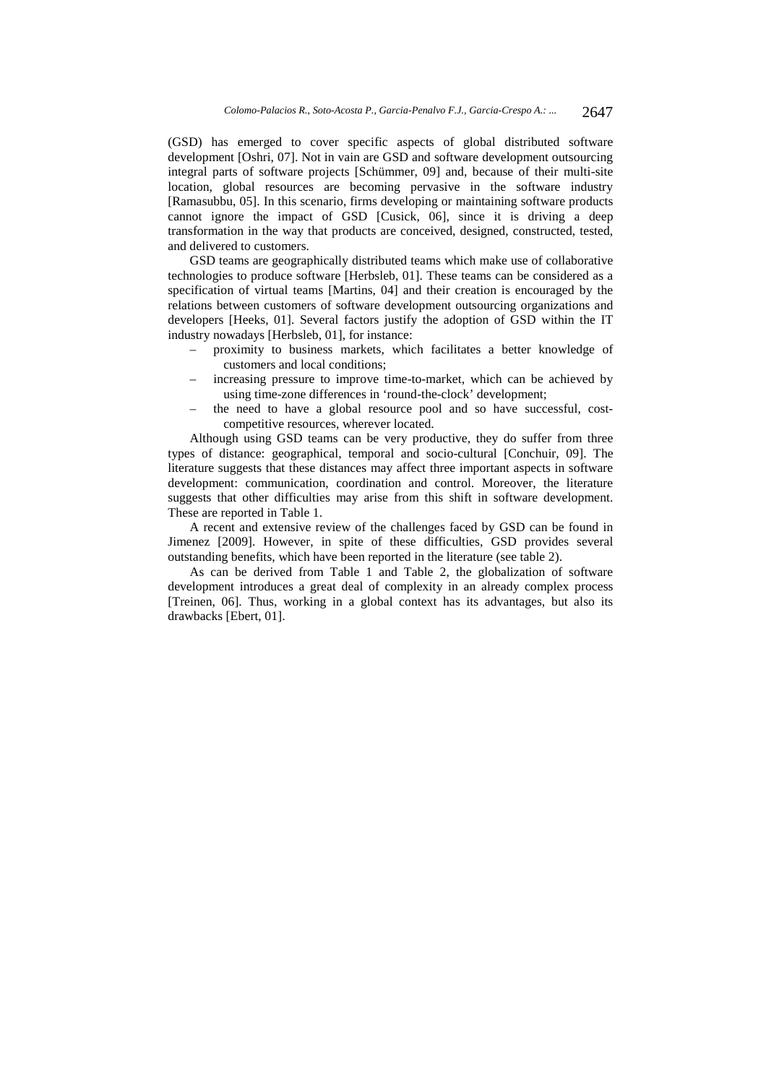(GSD) has emerged to cover specific aspects of global distributed software development [Oshri, 07]. Not in vain are GSD and software development outsourcing integral parts of software projects [Schümmer, 09] and, because of their multi-site location, global resources are becoming pervasive in the software industry [Ramasubbu, 05]. In this scenario, firms developing or maintaining software products cannot ignore the impact of GSD [Cusick, 06], since it is driving a deep transformation in the way that products are conceived, designed, constructed, tested, and delivered to customers.

GSD teams are geographically distributed teams which make use of collaborative technologies to produce software [Herbsleb, 01]. These teams can be considered as a specification of virtual teams [Martins, 04] and their creation is encouraged by the relations between customers of software development outsourcing organizations and developers [Heeks, 01]. Several factors justify the adoption of GSD within the IT industry nowadays [Herbsleb, 01], for instance:

- proximity to business markets, which facilitates a better knowledge of customers and local conditions;
- increasing pressure to improve time-to-market, which can be achieved by using time-zone differences in 'round-the-clock' development;
- the need to have a global resource pool and so have successful, costcompetitive resources, wherever located.

Although using GSD teams can be very productive, they do suffer from three types of distance: geographical, temporal and socio-cultural [Conchuir, 09]. The literature suggests that these distances may affect three important aspects in software development: communication, coordination and control. Moreover, the literature suggests that other difficulties may arise from this shift in software development. These are reported in Table 1.

A recent and extensive review of the challenges faced by GSD can be found in Jimenez [2009]. However, in spite of these difficulties, GSD provides several outstanding benefits, which have been reported in the literature (see table 2).

As can be derived from Table 1 and Table 2, the globalization of software development introduces a great deal of complexity in an already complex process [Treinen, 06]. Thus, working in a global context has its advantages, but also its drawbacks [Ebert, 01].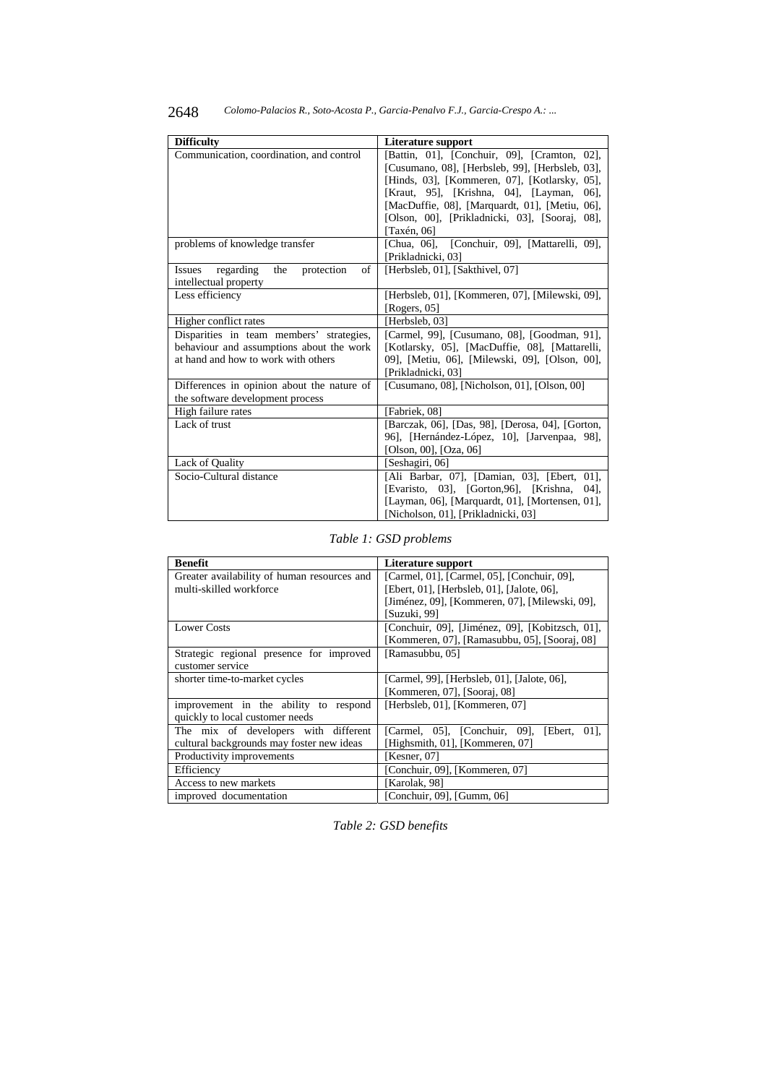| <b>Difficulty</b>                                     | Literature support                               |  |  |
|-------------------------------------------------------|--------------------------------------------------|--|--|
| Communication, coordination, and control              | [Battin, 01], [Conchuir, 09], [Cramton, 02],     |  |  |
|                                                       |                                                  |  |  |
|                                                       | [Cusumano, 08], [Herbsleb, 99], [Herbsleb, 03],  |  |  |
|                                                       | [Hinds, 03], [Kommeren, 07], [Kotlarsky, 05],    |  |  |
|                                                       | [Kraut, 95], [Krishna, 04], [Layman,<br>06],     |  |  |
|                                                       | [MacDuffie, 08], [Marquardt, 01], [Metiu, 06],   |  |  |
|                                                       | [Olson, 00], [Prikladnicki, 03], [Sooraj, 08],   |  |  |
|                                                       | [Taxén, 06]                                      |  |  |
| problems of knowledge transfer                        | [Chua, 06], [Conchuir, 09], [Mattarelli, 09],    |  |  |
|                                                       | [Prikladnicki, 03]                               |  |  |
| regarding<br>of<br>the<br>protection<br><b>Issues</b> | [Herbsleb, 01], [Sakthivel, 07]                  |  |  |
| intellectual property                                 |                                                  |  |  |
| Less efficiency                                       | [Herbsleb, 01], [Kommeren, 07], [Milewski, 09],  |  |  |
|                                                       | [Rogers, 05]                                     |  |  |
| Higher conflict rates                                 | [Herbsleb, 03]                                   |  |  |
| Disparities in team members' strategies,              | [Carmel, 99], [Cusumano, 08], [Goodman, 91],     |  |  |
| behaviour and assumptions about the work              | [Kotlarsky, 05], [MacDuffie, 08], [Mattarelli,   |  |  |
| at hand and how to work with others                   | 09], [Metiu, 06], [Milewski, 09], [Olson, 00],   |  |  |
|                                                       | [Prikladnicki, 03]                               |  |  |
| Differences in opinion about the nature of            | [Cusumano, 08], [Nicholson, 01], [Olson, 00]     |  |  |
| the software development process                      |                                                  |  |  |
| High failure rates                                    | [Fabriek, 08]                                    |  |  |
| Lack of trust                                         | [Barczak, 06], [Das, 98], [Derosa, 04], [Gorton, |  |  |
|                                                       | 96], [Hernández-López, 10], [Jarvenpaa, 98],     |  |  |
|                                                       | [Olson, 00], $[Oza, 06]$                         |  |  |
| Lack of Quality                                       | [Seshagiri, 06]                                  |  |  |
| Socio-Cultural distance                               | [Ali Barbar, 07], [Damian, 03], [Ebert, 01],     |  |  |
|                                                       | [Evaristo, 03], [Gorton, 96], [Krishna,<br>04],  |  |  |
|                                                       | [Layman, 06], [Marquardt, 01], [Mortensen, 01],  |  |  |
|                                                       | [Nicholson, 01], [Prikladnicki, 03]              |  |  |

*Table 1: GSD problems* 

| <b>Benefit</b>                              | Literature support                              |
|---------------------------------------------|-------------------------------------------------|
| Greater availability of human resources and | [Carmel, 01], [Carmel, 05], [Conchuir, 09],     |
| multi-skilled workforce                     | [Ebert, 01], [Herbsleb, 01], [Jalote, 06],      |
|                                             | [Jiménez, 09], [Kommeren, 07], [Milewski, 09],  |
|                                             | [Suzuki, 99]                                    |
| <b>Lower Costs</b>                          | [Conchuir, 09], [Jiménez, 09], [Kobitzsch, 01], |
|                                             | [Kommeren, 07], [Ramasubbu, 05], [Sooraj, 08]   |
| Strategic regional presence for improved    | [Ramasubbu, 05]                                 |
| customer service                            |                                                 |
| shorter time-to-market cycles               | [Carmel, 99], [Herbsleb, 01], [Jalote, 06],     |
|                                             | [Kommeren, 07], [Sooraj, 08]                    |
| improvement in the ability to respond       | [Herbsleb, 01], [Kommeren, 07]                  |
| quickly to local customer needs             |                                                 |
| The mix of developers with different        | [Carmel, 05], [Conchuir, 09], [Ebert,<br>011.   |
| cultural backgrounds may foster new ideas   | [Highsmith, 01], [Kommeren, 07]                 |
| Productivity improvements                   | [Kesner, 07]                                    |
| Efficiency                                  | [Conchuir, 09], [Kommeren, 07]                  |
| Access to new markets                       | [Karolak, 98]                                   |
| improved documentation                      | [Conchuir, 09], [Gumm, 06]                      |

*Table 2: GSD benefits*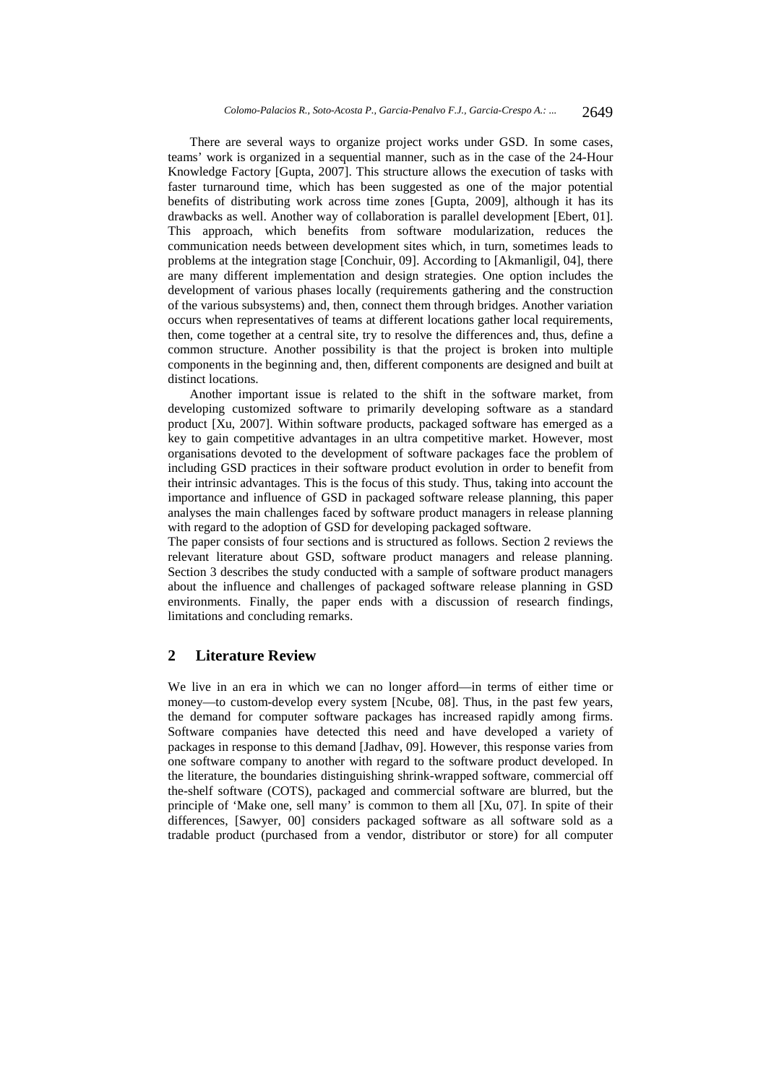There are several ways to organize project works under GSD. In some cases, teams' work is organized in a sequential manner, such as in the case of the 24-Hour Knowledge Factory [Gupta, 2007]. This structure allows the execution of tasks with faster turnaround time, which has been suggested as one of the major potential benefits of distributing work across time zones [Gupta, 2009], although it has its drawbacks as well. Another way of collaboration is parallel development [Ebert, 01]. This approach, which benefits from software modularization, reduces the communication needs between development sites which, in turn, sometimes leads to problems at the integration stage [Conchuir, 09]. According to [Akmanligil, 04], there are many different implementation and design strategies. One option includes the development of various phases locally (requirements gathering and the construction of the various subsystems) and, then, connect them through bridges. Another variation occurs when representatives of teams at different locations gather local requirements, then, come together at a central site, try to resolve the differences and, thus, define a common structure. Another possibility is that the project is broken into multiple components in the beginning and, then, different components are designed and built at distinct locations.

Another important issue is related to the shift in the software market, from developing customized software to primarily developing software as a standard product [Xu, 2007]. Within software products, packaged software has emerged as a key to gain competitive advantages in an ultra competitive market. However, most organisations devoted to the development of software packages face the problem of including GSD practices in their software product evolution in order to benefit from their intrinsic advantages. This is the focus of this study. Thus, taking into account the importance and influence of GSD in packaged software release planning, this paper analyses the main challenges faced by software product managers in release planning with regard to the adoption of GSD for developing packaged software.

The paper consists of four sections and is structured as follows. Section 2 reviews the relevant literature about GSD, software product managers and release planning. Section 3 describes the study conducted with a sample of software product managers about the influence and challenges of packaged software release planning in GSD environments. Finally, the paper ends with a discussion of research findings, limitations and concluding remarks.

# **2 Literature Review**

We live in an era in which we can no longer afford—in terms of either time or money—to custom-develop every system [Ncube, 08]. Thus, in the past few years, the demand for computer software packages has increased rapidly among firms. Software companies have detected this need and have developed a variety of packages in response to this demand [Jadhav, 09]. However, this response varies from one software company to another with regard to the software product developed. In the literature, the boundaries distinguishing shrink-wrapped software, commercial off the-shelf software (COTS), packaged and commercial software are blurred, but the principle of 'Make one, sell many' is common to them all [Xu, 07]. In spite of their differences, [Sawyer, 00] considers packaged software as all software sold as a tradable product (purchased from a vendor, distributor or store) for all computer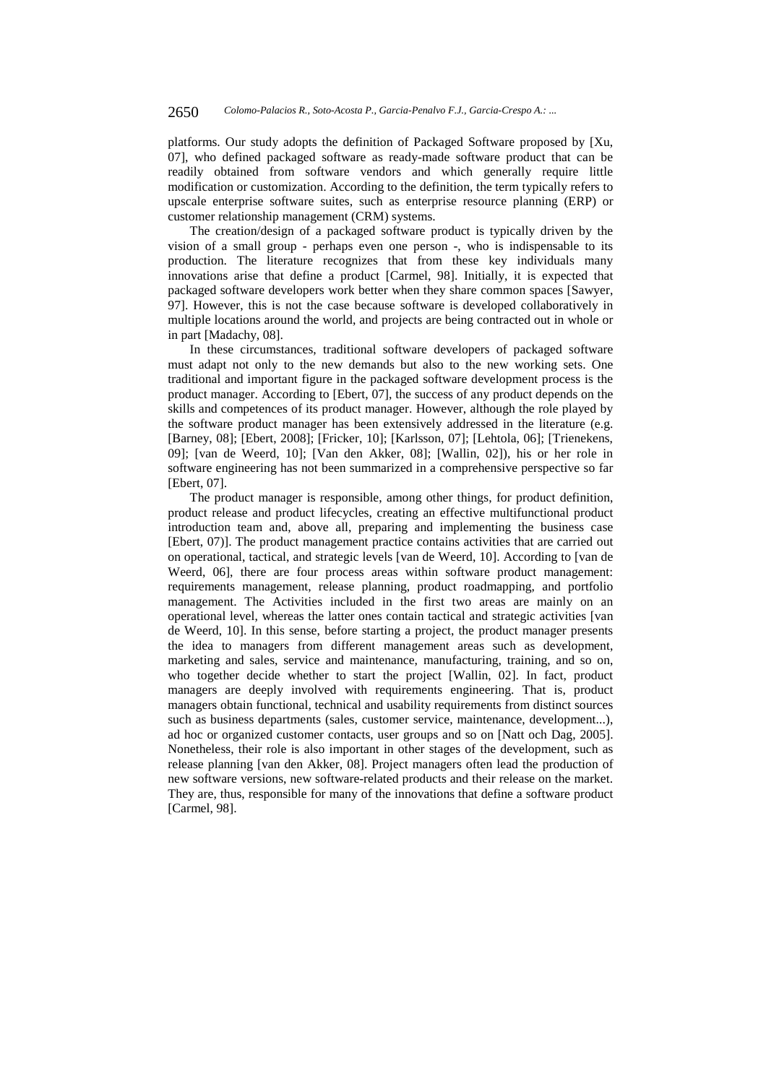platforms. Our study adopts the definition of Packaged Software proposed by [Xu, 07], who defined packaged software as ready-made software product that can be readily obtained from software vendors and which generally require little modification or customization. According to the definition, the term typically refers to upscale enterprise software suites, such as enterprise resource planning (ERP) or customer relationship management (CRM) systems.

The creation/design of a packaged software product is typically driven by the vision of a small group - perhaps even one person -, who is indispensable to its production. The literature recognizes that from these key individuals many innovations arise that define a product [Carmel, 98]. Initially, it is expected that packaged software developers work better when they share common spaces [Sawyer, 97]. However, this is not the case because software is developed collaboratively in multiple locations around the world, and projects are being contracted out in whole or in part [Madachy, 08].

In these circumstances, traditional software developers of packaged software must adapt not only to the new demands but also to the new working sets. One traditional and important figure in the packaged software development process is the product manager. According to [Ebert, 07], the success of any product depends on the skills and competences of its product manager. However, although the role played by the software product manager has been extensively addressed in the literature (e.g. [Barney, 08]; [Ebert, 2008]; [Fricker, 10]; [Karlsson, 07]; [Lehtola, 06]; [Trienekens, 09]; [van de Weerd, 10]; [Van den Akker, 08]; [Wallin, 02]), his or her role in software engineering has not been summarized in a comprehensive perspective so far [Ebert, 07].

The product manager is responsible, among other things, for product definition, product release and product lifecycles, creating an effective multifunctional product introduction team and, above all, preparing and implementing the business case [Ebert, 07)]. The product management practice contains activities that are carried out on operational, tactical, and strategic levels [van de Weerd, 10]. According to [van de Weerd, 06], there are four process areas within software product management: requirements management, release planning, product roadmapping, and portfolio management. The Activities included in the first two areas are mainly on an operational level, whereas the latter ones contain tactical and strategic activities [van de Weerd, 10]. In this sense, before starting a project, the product manager presents the idea to managers from different management areas such as development, marketing and sales, service and maintenance, manufacturing, training, and so on, who together decide whether to start the project [Wallin, 02]. In fact, product managers are deeply involved with requirements engineering. That is, product managers obtain functional, technical and usability requirements from distinct sources such as business departments (sales, customer service, maintenance, development...), ad hoc or organized customer contacts, user groups and so on [Natt och Dag, 2005]. Nonetheless, their role is also important in other stages of the development, such as release planning [van den Akker, 08]. Project managers often lead the production of new software versions, new software-related products and their release on the market. They are, thus, responsible for many of the innovations that define a software product [Carmel, 98].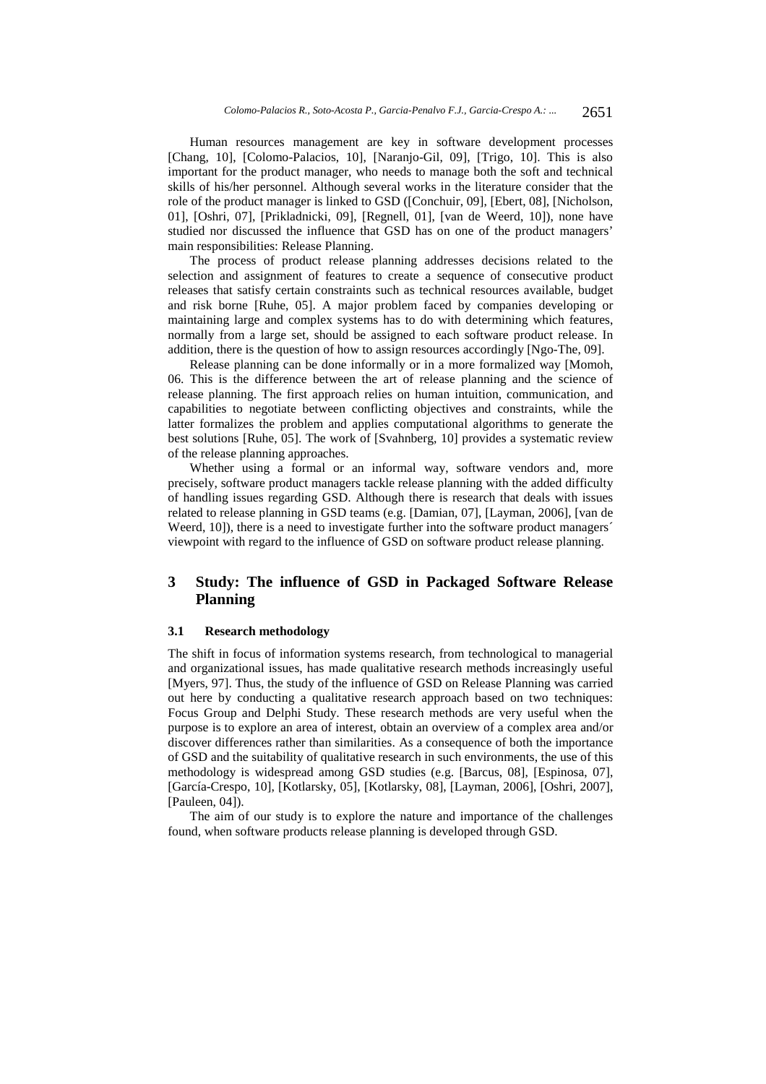Human resources management are key in software development processes [Chang, 10], [Colomo-Palacios, 10], [Naranjo-Gil, 09], [Trigo, 10]. This is also important for the product manager, who needs to manage both the soft and technical skills of his/her personnel. Although several works in the literature consider that the role of the product manager is linked to GSD ([Conchuir, 09], [Ebert, 08], [Nicholson, 01], [Oshri, 07], [Prikladnicki, 09], [Regnell, 01], [van de Weerd, 10]), none have studied nor discussed the influence that GSD has on one of the product managers' main responsibilities: Release Planning.

The process of product release planning addresses decisions related to the selection and assignment of features to create a sequence of consecutive product releases that satisfy certain constraints such as technical resources available, budget and risk borne [Ruhe, 05]. A major problem faced by companies developing or maintaining large and complex systems has to do with determining which features, normally from a large set, should be assigned to each software product release. In addition, there is the question of how to assign resources accordingly [Ngo-The, 09].

Release planning can be done informally or in a more formalized way [Momoh, 06. This is the difference between the art of release planning and the science of release planning. The first approach relies on human intuition, communication, and capabilities to negotiate between conflicting objectives and constraints, while the latter formalizes the problem and applies computational algorithms to generate the best solutions [Ruhe, 05]. The work of [Svahnberg, 10] provides a systematic review of the release planning approaches.

Whether using a formal or an informal way, software vendors and, more precisely, software product managers tackle release planning with the added difficulty of handling issues regarding GSD. Although there is research that deals with issues related to release planning in GSD teams (e.g. [Damian, 07], [Layman, 2006], [van de Weerd, 10]), there is a need to investigate further into the software product managers<sup>1</sup> viewpoint with regard to the influence of GSD on software product release planning.

# **3 Study: The influence of GSD in Packaged Software Release Planning**

#### **3.1 Research methodology**

The shift in focus of information systems research, from technological to managerial and organizational issues, has made qualitative research methods increasingly useful [Myers, 97]. Thus, the study of the influence of GSD on Release Planning was carried out here by conducting a qualitative research approach based on two techniques: Focus Group and Delphi Study. These research methods are very useful when the purpose is to explore an area of interest, obtain an overview of a complex area and/or discover differences rather than similarities. As a consequence of both the importance of GSD and the suitability of qualitative research in such environments, the use of this methodology is widespread among GSD studies (e.g. [Barcus, 08], [Espinosa, 07], [García-Crespo, 10], [Kotlarsky, 05], [Kotlarsky, 08], [Layman, 2006], [Oshri, 2007], [Pauleen, 04]).

The aim of our study is to explore the nature and importance of the challenges found, when software products release planning is developed through GSD.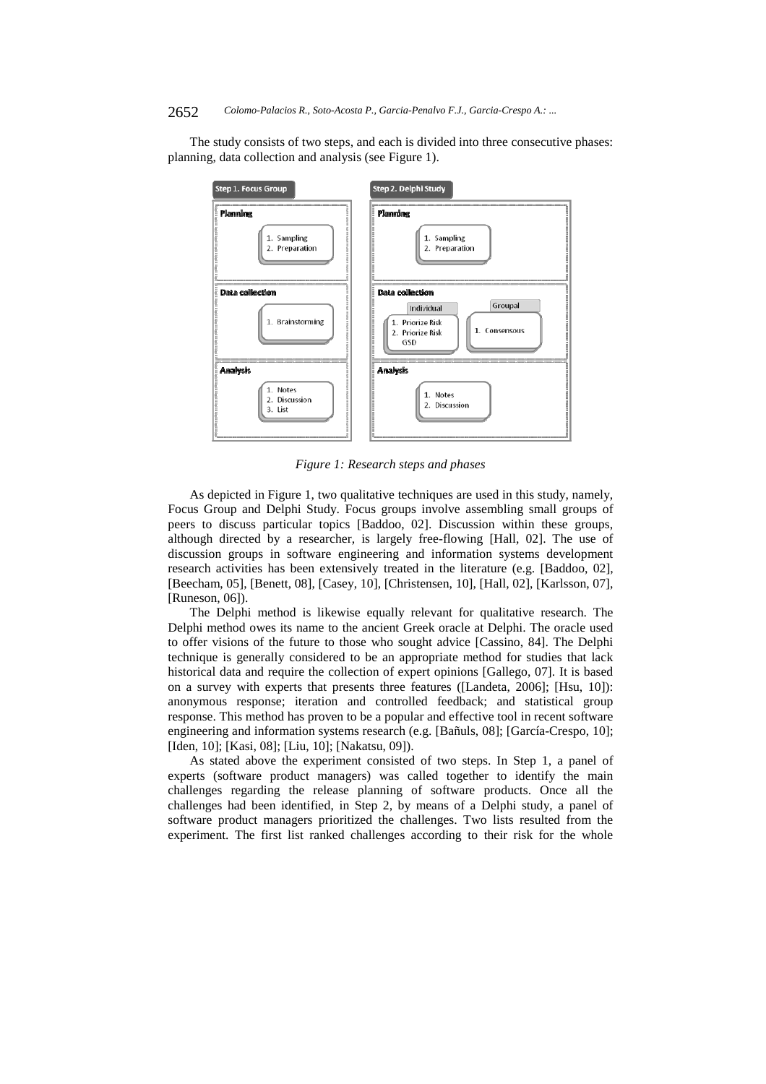The study consists of two steps, and each is divided into three consecutive phases: planning, data collection and analysis (see Figure 1).



*Figure 1: Research steps and phases* 

As depicted in Figure 1, two qualitative techniques are used in this study, namely, Focus Group and Delphi Study. Focus groups involve assembling small groups of peers to discuss particular topics [Baddoo, 02]. Discussion within these groups, although directed by a researcher, is largely free-flowing [Hall, 02]. The use of discussion groups in software engineering and information systems development research activities has been extensively treated in the literature (e.g. [Baddoo, 02], [Beecham, 05], [Benett, 08], [Casey, 10], [Christensen, 10], [Hall, 02], [Karlsson, 07], [Runeson, 06]).

The Delphi method is likewise equally relevant for qualitative research. The Delphi method owes its name to the ancient Greek oracle at Delphi. The oracle used to offer visions of the future to those who sought advice [Cassino, 84]. The Delphi technique is generally considered to be an appropriate method for studies that lack historical data and require the collection of expert opinions [Gallego, 07]. It is based on a survey with experts that presents three features ([Landeta, 2006]; [Hsu, 10]): anonymous response; iteration and controlled feedback; and statistical group response. This method has proven to be a popular and effective tool in recent software engineering and information systems research (e.g. [Bañuls, 08]; [García-Crespo, 10]; [Iden, 10]; [Kasi, 08]; [Liu, 10]; [Nakatsu, 09]).

As stated above the experiment consisted of two steps. In Step 1, a panel of experts (software product managers) was called together to identify the main challenges regarding the release planning of software products. Once all the challenges had been identified, in Step 2, by means of a Delphi study, a panel of software product managers prioritized the challenges. Two lists resulted from the experiment. The first list ranked challenges according to their risk for the whole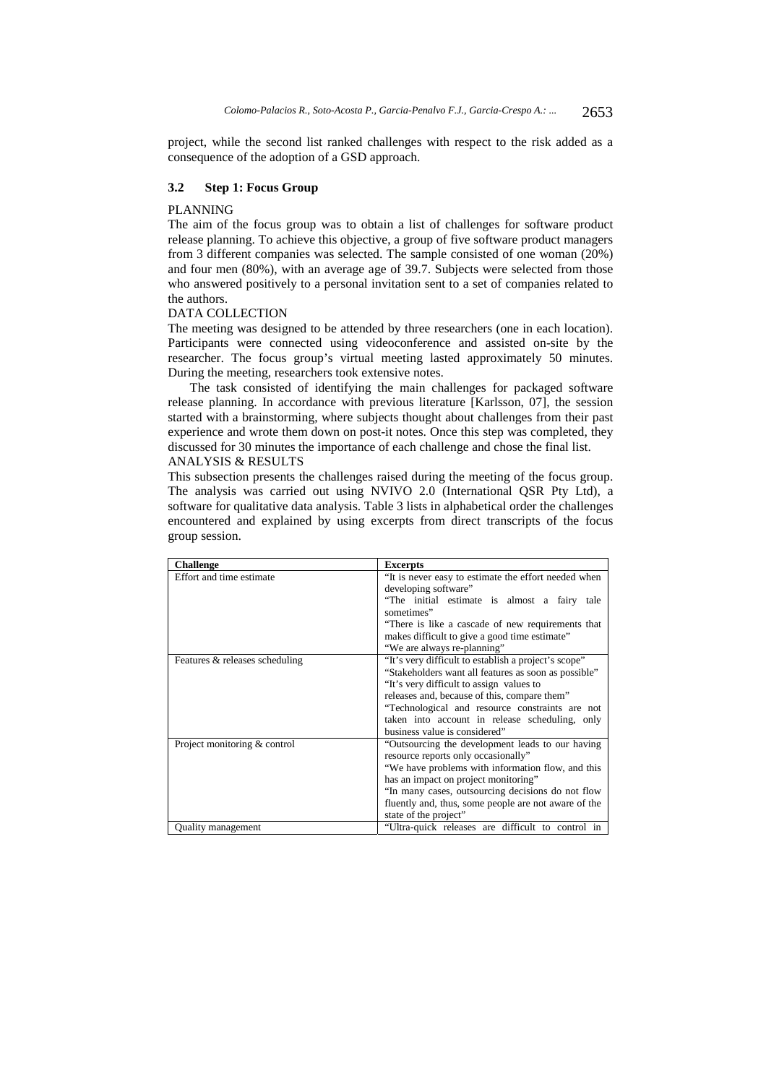project, while the second list ranked challenges with respect to the risk added as a consequence of the adoption of a GSD approach.

#### **3.2 Step 1: Focus Group**

#### PLANNING

The aim of the focus group was to obtain a list of challenges for software product release planning. To achieve this objective, a group of five software product managers from 3 different companies was selected. The sample consisted of one woman (20%) and four men (80%), with an average age of 39.7. Subjects were selected from those who answered positively to a personal invitation sent to a set of companies related to the authors.

#### DATA COLLECTION

The meeting was designed to be attended by three researchers (one in each location). Participants were connected using videoconference and assisted on-site by the researcher. The focus group's virtual meeting lasted approximately 50 minutes. During the meeting, researchers took extensive notes.

The task consisted of identifying the main challenges for packaged software release planning. In accordance with previous literature [Karlsson, 07], the session started with a brainstorming, where subjects thought about challenges from their past experience and wrote them down on post-it notes. Once this step was completed, they discussed for 30 minutes the importance of each challenge and chose the final list.

## ANALYSIS & RESULTS

This subsection presents the challenges raised during the meeting of the focus group. The analysis was carried out using NVIVO 2.0 (International QSR Pty Ltd), a software for qualitative data analysis. Table 3 lists in alphabetical order the challenges encountered and explained by using excerpts from direct transcripts of the focus group session.

| <b>Challenge</b>               | <b>Excerpts</b>                                      |
|--------------------------------|------------------------------------------------------|
| Effort and time estimate       | "It is never easy to estimate the effort needed when |
|                                | developing software"                                 |
|                                | "The initial estimate is almost a fairy<br>tale      |
|                                | sometimes"                                           |
|                                | "There is like a cascade of new requirements that    |
|                                | makes difficult to give a good time estimate"        |
|                                | "We are always re-planning"                          |
| Features & releases scheduling | "It's very difficult to establish a project's scope" |
|                                | "Stakeholders want all features as soon as possible" |
|                                | "It's very difficult to assign values to             |
|                                | releases and, because of this, compare them"         |
|                                | "Technological and resource constraints are not      |
|                                | taken into account in release scheduling, only       |
|                                | business value is considered"                        |
| Project monitoring & control   | "Outsourcing the development leads to our having     |
|                                | resource reports only occasionally"                  |
|                                | "We have problems with information flow, and this    |
|                                | has an impact on project monitoring"                 |
|                                | "In many cases, outsourcing decisions do not flow    |
|                                | fluently and, thus, some people are not aware of the |
|                                | state of the project"                                |
| Quality management             | "Ultra-quick releases are difficult to control in    |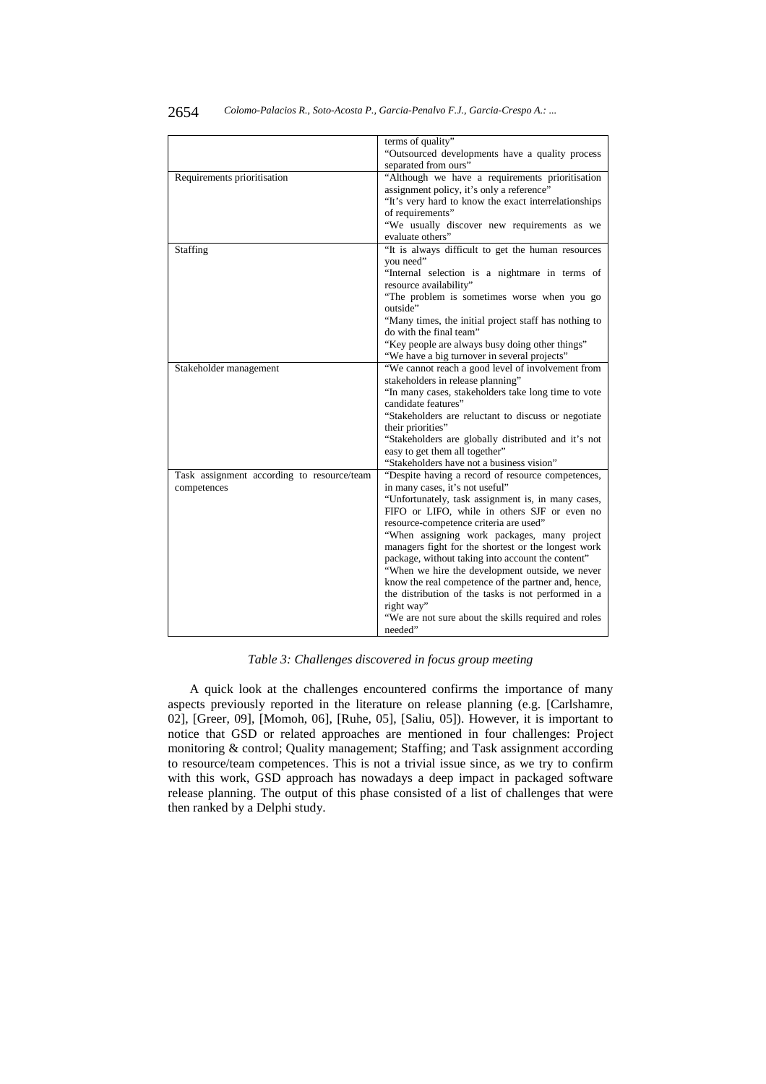|                                            | terms of quality"                                     |  |  |
|--------------------------------------------|-------------------------------------------------------|--|--|
|                                            | "Outsourced developments have a quality process       |  |  |
|                                            | separated from ours"                                  |  |  |
| Requirements prioritisation                | "Although we have a requirements prioritisation       |  |  |
|                                            | assignment policy, it's only a reference"             |  |  |
|                                            | "It's very hard to know the exact interrelationships  |  |  |
|                                            | of requirements"                                      |  |  |
|                                            | "We usually discover new requirements as we           |  |  |
|                                            | evaluate others"                                      |  |  |
| Staffing                                   | "It is always difficult to get the human resources    |  |  |
|                                            | you need"                                             |  |  |
|                                            | "Internal selection is a nightmare in terms of        |  |  |
|                                            | resource availability"                                |  |  |
|                                            | "The problem is sometimes worse when you go           |  |  |
|                                            | outside"                                              |  |  |
|                                            | "Many times, the initial project staff has nothing to |  |  |
|                                            | do with the final team"                               |  |  |
|                                            | "Key people are always busy doing other things"       |  |  |
|                                            | "We have a big turnover in several projects"          |  |  |
| Stakeholder management                     | "We cannot reach a good level of involvement from     |  |  |
|                                            | stakeholders in release planning"                     |  |  |
|                                            | "In many cases, stakeholders take long time to vote   |  |  |
|                                            | candidate features"                                   |  |  |
|                                            | "Stakeholders are reluctant to discuss or negotiate   |  |  |
|                                            | their priorities"                                     |  |  |
|                                            | "Stakeholders are globally distributed and it's not   |  |  |
|                                            | easy to get them all together"                        |  |  |
|                                            | "Stakeholders have not a business vision"             |  |  |
| Task assignment according to resource/team | "Despite having a record of resource competences,     |  |  |
| competences                                | in many cases, it's not useful"                       |  |  |
|                                            | "Unfortunately, task assignment is, in many cases,    |  |  |
|                                            | FIFO or LIFO, while in others SJF or even no          |  |  |
|                                            | resource-competence criteria are used"                |  |  |
|                                            | "When assigning work packages, many project           |  |  |
|                                            | managers fight for the shortest or the longest work   |  |  |
|                                            | package, without taking into account the content"     |  |  |
|                                            | "When we hire the development outside, we never       |  |  |
|                                            | know the real competence of the partner and, hence,   |  |  |
|                                            | the distribution of the tasks is not performed in a   |  |  |
|                                            | right way"                                            |  |  |
|                                            | "We are not sure about the skills required and roles  |  |  |
|                                            | needed"                                               |  |  |

*Table 3: Challenges discovered in focus group meeting* 

A quick look at the challenges encountered confirms the importance of many aspects previously reported in the literature on release planning (e.g. [Carlshamre, 02], [Greer, 09], [Momoh, 06], [Ruhe, 05], [Saliu, 05]). However, it is important to notice that GSD or related approaches are mentioned in four challenges: Project monitoring & control; Quality management; Staffing; and Task assignment according to resource/team competences. This is not a trivial issue since, as we try to confirm with this work, GSD approach has nowadays a deep impact in packaged software release planning. The output of this phase consisted of a list of challenges that were then ranked by a Delphi study.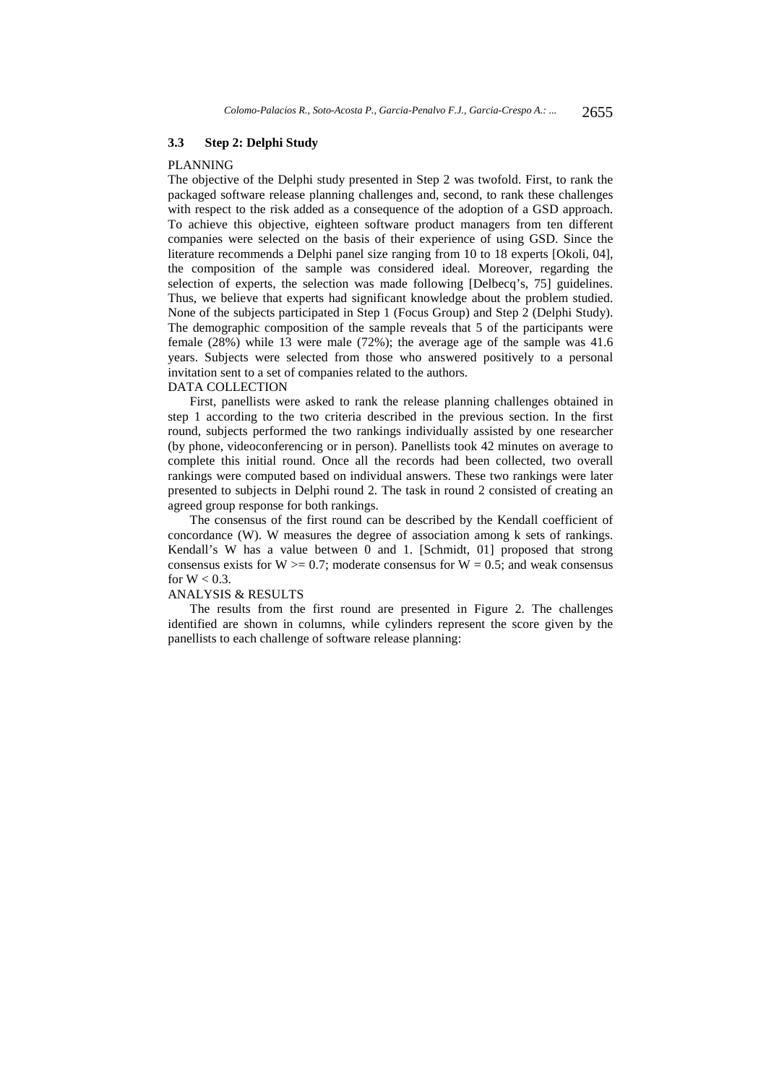### **3.3 Step 2: Delphi Study**

#### PLANNING

The objective of the Delphi study presented in Step 2 was twofold. First, to rank the packaged software release planning challenges and, second, to rank these challenges with respect to the risk added as a consequence of the adoption of a GSD approach. To achieve this objective, eighteen software product managers from ten different companies were selected on the basis of their experience of using GSD. Since the literature recommends a Delphi panel size ranging from 10 to 18 experts [Okoli, 04], the composition of the sample was considered ideal. Moreover, regarding the selection of experts, the selection was made following [Delbecq's, 75] guidelines. Thus, we believe that experts had significant knowledge about the problem studied. None of the subjects participated in Step 1 (Focus Group) and Step 2 (Delphi Study). The demographic composition of the sample reveals that 5 of the participants were female (28%) while 13 were male (72%); the average age of the sample was 41.6 years. Subjects were selected from those who answered positively to a personal invitation sent to a set of companies related to the authors.

## DATA COLLECTION

First, panellists were asked to rank the release planning challenges obtained in step 1 according to the two criteria described in the previous section. In the first round, subjects performed the two rankings individually assisted by one researcher (by phone, videoconferencing or in person). Panellists took 42 minutes on average to complete this initial round. Once all the records had been collected, two overall rankings were computed based on individual answers. These two rankings were later presented to subjects in Delphi round 2. The task in round 2 consisted of creating an agreed group response for both rankings.

The consensus of the first round can be described by the Kendall coefficient of concordance (W). W measures the degree of association among k sets of rankings. Kendall's W has a value between  $\overline{0}$  and 1. [Schmidt, 01] proposed that strong consensus exists for  $W > = 0.7$ ; moderate consensus for  $W = 0.5$ ; and weak consensus for  $W < 0.3$ .

#### ANALYSIS & RESULTS

The results from the first round are presented in Figure 2. The challenges identified are shown in columns, while cylinders represent the score given by the panellists to each challenge of software release planning: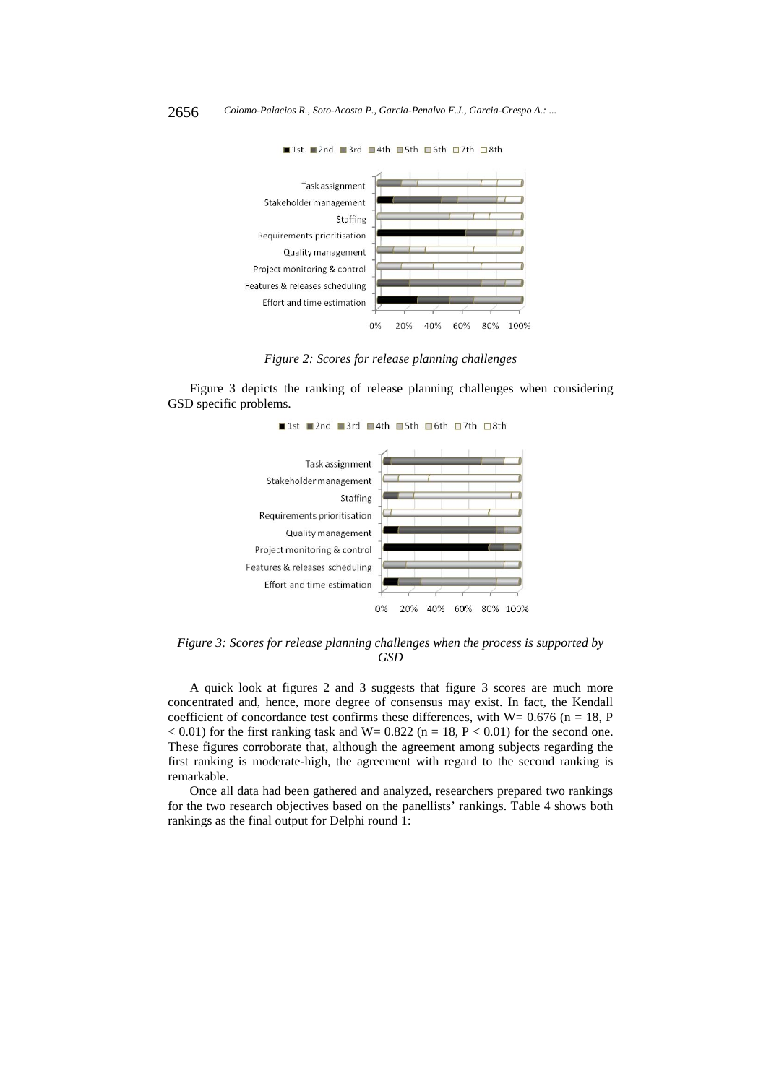

■1st ■2nd ■3rd ■4th ■5th □6th □7th □8th

*Figure 2: Scores for release planning challenges* 

Figure 3 depicts the ranking of release planning challenges when considering GSD specific problems.





*Figure 3: Scores for release planning challenges when the process is supported by GSD* 

A quick look at figures 2 and 3 suggests that figure 3 scores are much more concentrated and, hence, more degree of consensus may exist. In fact, the Kendall coefficient of concordance test confirms these differences, with  $W = 0.676$  (n = 18, P  $< 0.01$ ) for the first ranking task and W= 0.822 (n = 18, P  $< 0.01$ ) for the second one. These figures corroborate that, although the agreement among subjects regarding the first ranking is moderate-high, the agreement with regard to the second ranking is remarkable.

Once all data had been gathered and analyzed, researchers prepared two rankings for the two research objectives based on the panellists' rankings. Table 4 shows both rankings as the final output for Delphi round 1: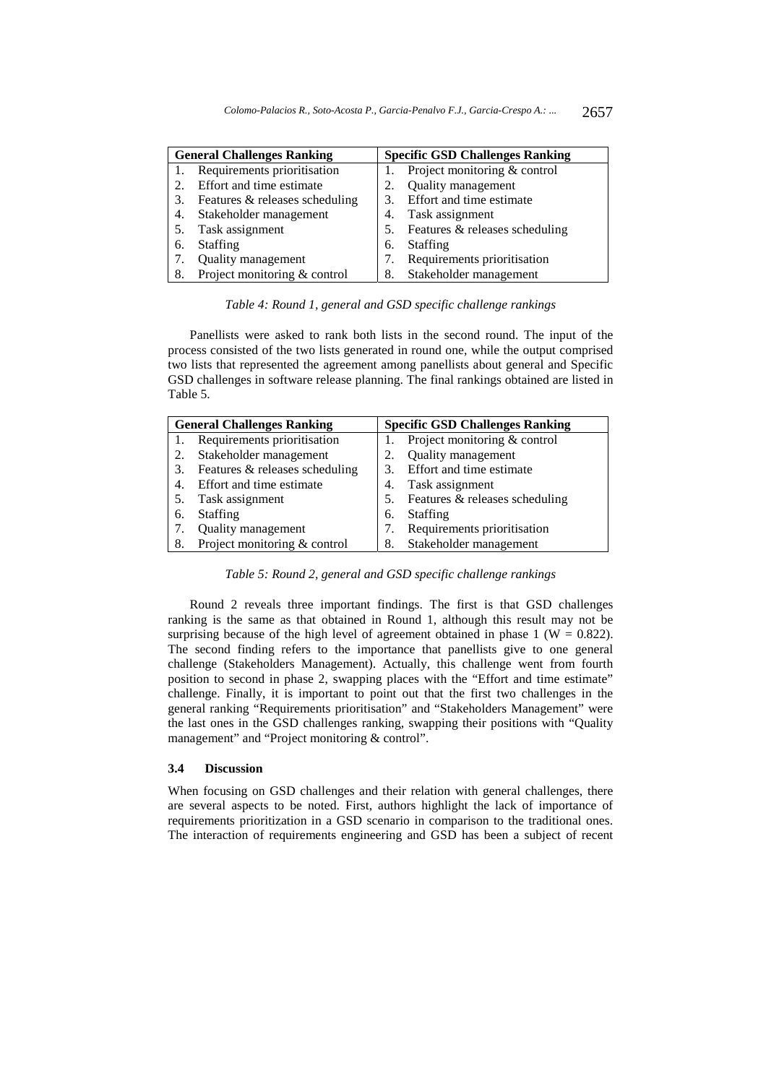|    | <b>General Challenges Ranking</b> | <b>Specific GSD Challenges Ranking</b> |                                |
|----|-----------------------------------|----------------------------------------|--------------------------------|
|    | Requirements prioritisation       |                                        | Project monitoring & control   |
|    | Effort and time estimate          | 2.                                     | Quality management             |
|    | Features & releases scheduling    | 3.                                     | Effort and time estimate       |
| 4. | Stakeholder management            | 4.                                     | Task assignment                |
|    | Task assignment                   | 5.                                     | Features & releases scheduling |
| 6. | <b>Staffing</b>                   | 6.                                     | <b>Staffing</b>                |
|    | Quality management                |                                        | Requirements prioritisation    |
| 8. | Project monitoring & control      | 8.                                     | Stakeholder management         |

*Table 4: Round 1, general and GSD specific challenge rankings* 

Panellists were asked to rank both lists in the second round. The input of the process consisted of the two lists generated in round one, while the output comprised two lists that represented the agreement among panellists about general and Specific GSD challenges in software release planning. The final rankings obtained are listed in Table 5.

| <b>General Challenges Ranking</b> |                                | <b>Specific GSD Challenges Ranking</b> |                                |
|-----------------------------------|--------------------------------|----------------------------------------|--------------------------------|
|                                   | Requirements prioritisation    |                                        | Project monitoring & control   |
| 2.                                | Stakeholder management         |                                        | Quality management             |
| 3.                                | Features & releases scheduling | 3.                                     | Effort and time estimate       |
| 4.                                | Effort and time estimate       | 4.                                     | Task assignment                |
|                                   | Task assignment                | 5.                                     | Features & releases scheduling |
| 6.                                | <b>Staffing</b>                | 6.                                     | Staffing                       |
| 7.                                | Quality management             |                                        | Requirements prioritisation    |
| 8.                                | Project monitoring & control   | 8.                                     | Stakeholder management         |

*Table 5: Round 2, general and GSD specific challenge rankings* 

Round 2 reveals three important findings. The first is that GSD challenges ranking is the same as that obtained in Round 1, although this result may not be surprising because of the high level of agreement obtained in phase 1 ( $W = 0.822$ ). The second finding refers to the importance that panellists give to one general challenge (Stakeholders Management). Actually, this challenge went from fourth position to second in phase 2, swapping places with the "Effort and time estimate" challenge. Finally, it is important to point out that the first two challenges in the general ranking "Requirements prioritisation" and "Stakeholders Management" were the last ones in the GSD challenges ranking, swapping their positions with "Quality management" and "Project monitoring & control".

### **3.4 Discussion**

When focusing on GSD challenges and their relation with general challenges, there are several aspects to be noted. First, authors highlight the lack of importance of requirements prioritization in a GSD scenario in comparison to the traditional ones. The interaction of requirements engineering and GSD has been a subject of recent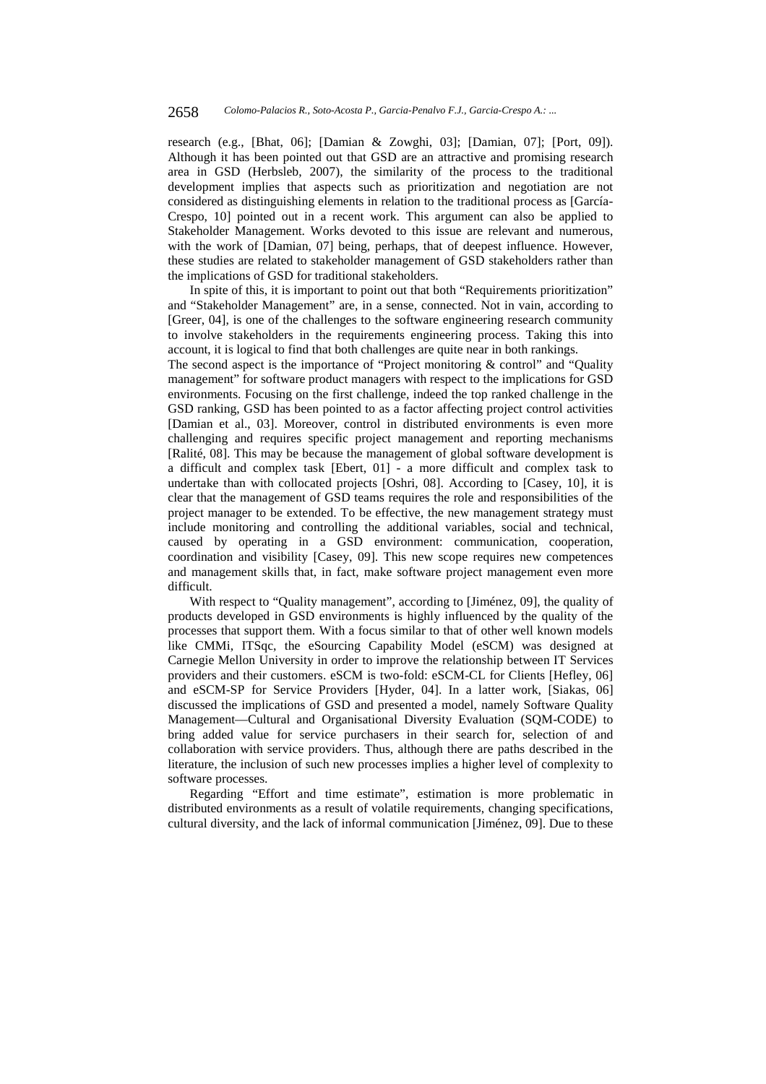research (e.g., [Bhat, 06]; [Damian & Zowghi, 03]; [Damian, 07]; [Port, 09]). Although it has been pointed out that GSD are an attractive and promising research area in GSD (Herbsleb, 2007), the similarity of the process to the traditional development implies that aspects such as prioritization and negotiation are not considered as distinguishing elements in relation to the traditional process as [García-Crespo, 10] pointed out in a recent work. This argument can also be applied to Stakeholder Management. Works devoted to this issue are relevant and numerous, with the work of [Damian, 07] being, perhaps, that of deepest influence. However, these studies are related to stakeholder management of GSD stakeholders rather than the implications of GSD for traditional stakeholders.

In spite of this, it is important to point out that both "Requirements prioritization" and "Stakeholder Management" are, in a sense, connected. Not in vain, according to [Greer, 04], is one of the challenges to the software engineering research community to involve stakeholders in the requirements engineering process. Taking this into account, it is logical to find that both challenges are quite near in both rankings.

The second aspect is the importance of "Project monitoring & control" and "Quality management" for software product managers with respect to the implications for GSD environments. Focusing on the first challenge, indeed the top ranked challenge in the GSD ranking, GSD has been pointed to as a factor affecting project control activities [Damian et al., 03]. Moreover, control in distributed environments is even more challenging and requires specific project management and reporting mechanisms [Ralité, 08]. This may be because the management of global software development is a difficult and complex task [Ebert, 01] - a more difficult and complex task to undertake than with collocated projects [Oshri, 08]. According to [Casey, 10], it is clear that the management of GSD teams requires the role and responsibilities of the project manager to be extended. To be effective, the new management strategy must include monitoring and controlling the additional variables, social and technical, caused by operating in a GSD environment: communication, cooperation, coordination and visibility [Casey, 09]. This new scope requires new competences and management skills that, in fact, make software project management even more difficult.

With respect to "Quality management", according to [Jiménez, 09], the quality of products developed in GSD environments is highly influenced by the quality of the processes that support them. With a focus similar to that of other well known models like CMMi, ITSqc, the eSourcing Capability Model (eSCM) was designed at Carnegie Mellon University in order to improve the relationship between IT Services providers and their customers. eSCM is two-fold: eSCM-CL for Clients [Hefley, 06] and eSCM-SP for Service Providers [Hyder, 04]. In a latter work, [Siakas, 06] discussed the implications of GSD and presented a model, namely Software Quality Management—Cultural and Organisational Diversity Evaluation (SQM-CODE) to bring added value for service purchasers in their search for, selection of and collaboration with service providers. Thus, although there are paths described in the literature, the inclusion of such new processes implies a higher level of complexity to software processes.

Regarding "Effort and time estimate", estimation is more problematic in distributed environments as a result of volatile requirements, changing specifications, cultural diversity, and the lack of informal communication [Jiménez, 09]. Due to these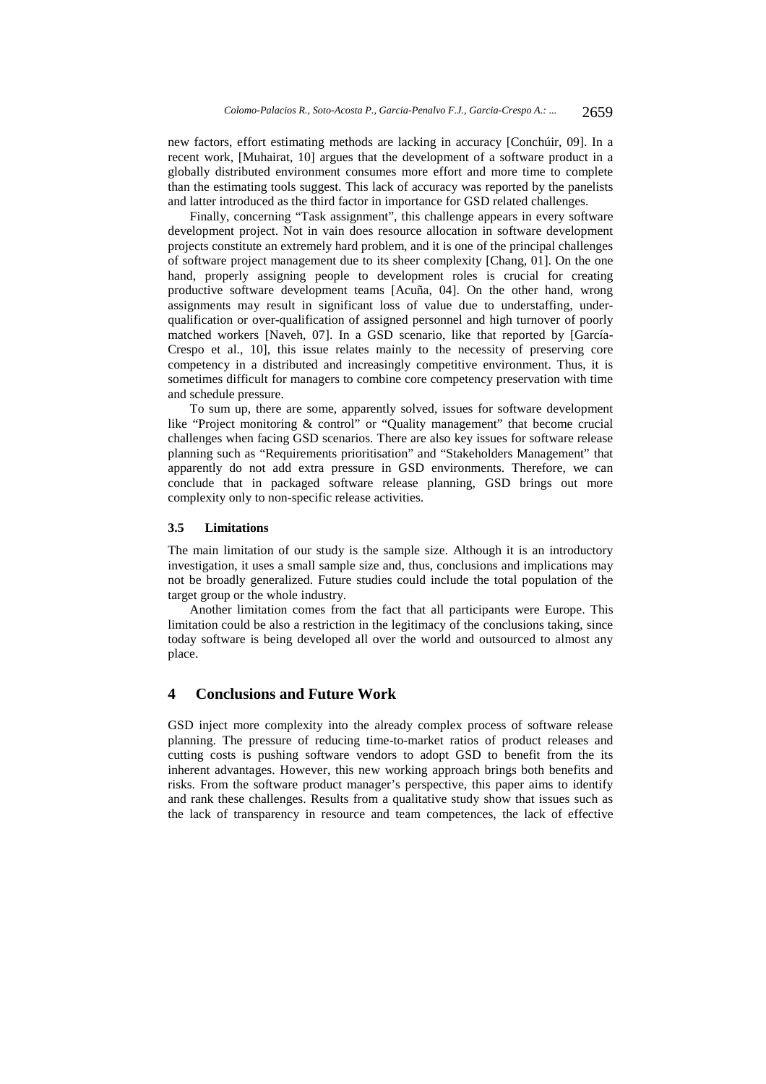new factors, effort estimating methods are lacking in accuracy [Conchúir, 09]. In a recent work, [Muhairat, 10] argues that the development of a software product in a globally distributed environment consumes more effort and more time to complete than the estimating tools suggest. This lack of accuracy was reported by the panelists and latter introduced as the third factor in importance for GSD related challenges.

Finally, concerning "Task assignment", this challenge appears in every software development project. Not in vain does resource allocation in software development projects constitute an extremely hard problem, and it is one of the principal challenges of software project management due to its sheer complexity [Chang, 01]. On the one hand, properly assigning people to development roles is crucial for creating productive software development teams [Acuña, 04]. On the other hand, wrong assignments may result in significant loss of value due to understaffing, underqualification or over-qualification of assigned personnel and high turnover of poorly matched workers [Naveh, 07]. In a GSD scenario, like that reported by [García-Crespo et al., 10], this issue relates mainly to the necessity of preserving core competency in a distributed and increasingly competitive environment. Thus, it is sometimes difficult for managers to combine core competency preservation with time and schedule pressure.

To sum up, there are some, apparently solved, issues for software development like "Project monitoring & control" or "Quality management" that become crucial challenges when facing GSD scenarios. There are also key issues for software release planning such as "Requirements prioritisation" and "Stakeholders Management" that apparently do not add extra pressure in GSD environments. Therefore, we can conclude that in packaged software release planning, GSD brings out more complexity only to non-specific release activities.

## **3.5 Limitations**

The main limitation of our study is the sample size. Although it is an introductory investigation, it uses a small sample size and, thus, conclusions and implications may not be broadly generalized. Future studies could include the total population of the target group or the whole industry.

Another limitation comes from the fact that all participants were Europe. This limitation could be also a restriction in the legitimacy of the conclusions taking, since today software is being developed all over the world and outsourced to almost any place.

## **4 Conclusions and Future Work**

GSD inject more complexity into the already complex process of software release planning. The pressure of reducing time-to-market ratios of product releases and cutting costs is pushing software vendors to adopt GSD to benefit from the its inherent advantages. However, this new working approach brings both benefits and risks. From the software product manager's perspective, this paper aims to identify and rank these challenges. Results from a qualitative study show that issues such as the lack of transparency in resource and team competences, the lack of effective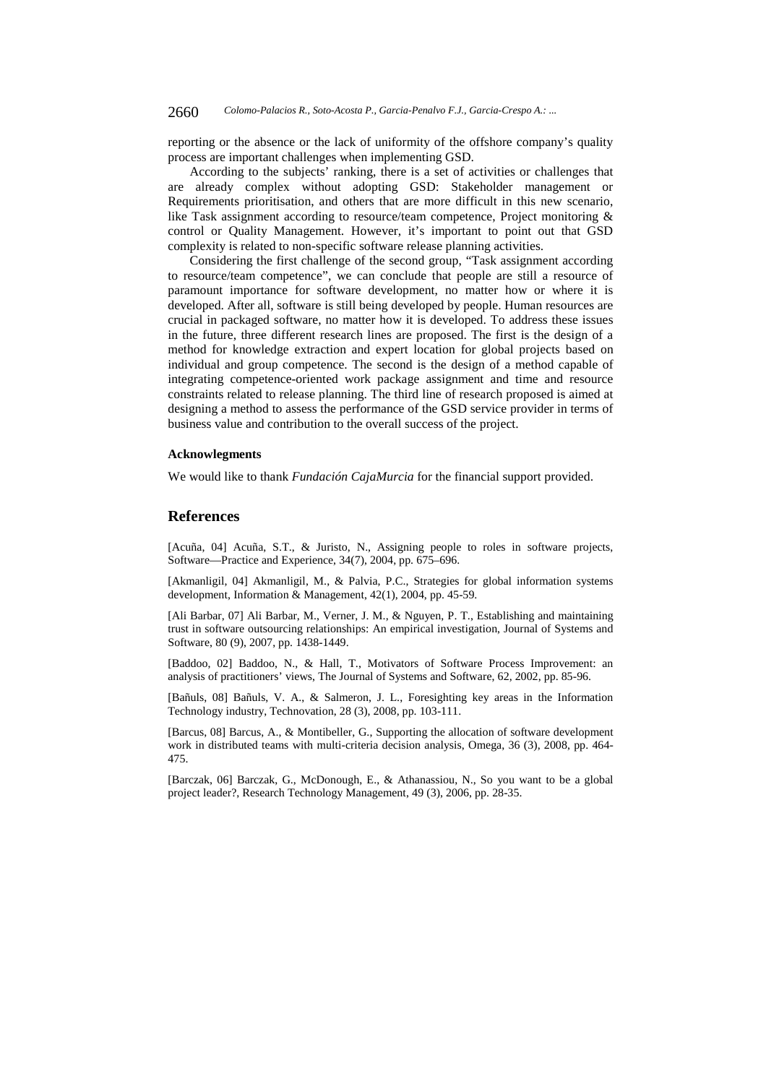reporting or the absence or the lack of uniformity of the offshore company's quality process are important challenges when implementing GSD.

According to the subjects' ranking, there is a set of activities or challenges that are already complex without adopting GSD: Stakeholder management or Requirements prioritisation, and others that are more difficult in this new scenario, like Task assignment according to resource/team competence, Project monitoring & control or Quality Management. However, it's important to point out that GSD complexity is related to non-specific software release planning activities.

Considering the first challenge of the second group, "Task assignment according to resource/team competence", we can conclude that people are still a resource of paramount importance for software development, no matter how or where it is developed. After all, software is still being developed by people. Human resources are crucial in packaged software, no matter how it is developed. To address these issues in the future, three different research lines are proposed. The first is the design of a method for knowledge extraction and expert location for global projects based on individual and group competence. The second is the design of a method capable of integrating competence-oriented work package assignment and time and resource constraints related to release planning. The third line of research proposed is aimed at designing a method to assess the performance of the GSD service provider in terms of business value and contribution to the overall success of the project.

#### **Acknowlegments**

We would like to thank *Fundación CajaMurcia* for the financial support provided.

### **References**

[Acuña, 04] Acuña, S.T., & Juristo, N., Assigning people to roles in software projects, Software—Practice and Experience, 34(7), 2004, pp. 675–696.

[Akmanligil, 04] Akmanligil, M., & Palvia, P.C., Strategies for global information systems development, Information & Management, 42(1), 2004, pp. 45-59.

[Ali Barbar, 07] Ali Barbar, M., Verner, J. M., & Nguyen, P. T., Establishing and maintaining trust in software outsourcing relationships: An empirical investigation, Journal of Systems and Software, 80 (9), 2007, pp. 1438-1449.

[Baddoo, 02] Baddoo, N., & Hall, T., Motivators of Software Process Improvement: an analysis of practitioners' views, The Journal of Systems and Software, 62, 2002, pp. 85-96.

[Bañuls, 08] Bañuls, V. A., & Salmeron, J. L., Foresighting key areas in the Information Technology industry, Technovation, 28 (3), 2008, pp. 103-111.

[Barcus, 08] Barcus, A., & Montibeller, G., Supporting the allocation of software development work in distributed teams with multi-criteria decision analysis, Omega, 36 (3), 2008, pp. 464- 475.

[Barczak, 06] Barczak, G., McDonough, E., & Athanassiou, N., So you want to be a global project leader?, Research Technology Management, 49 (3), 2006, pp. 28-35.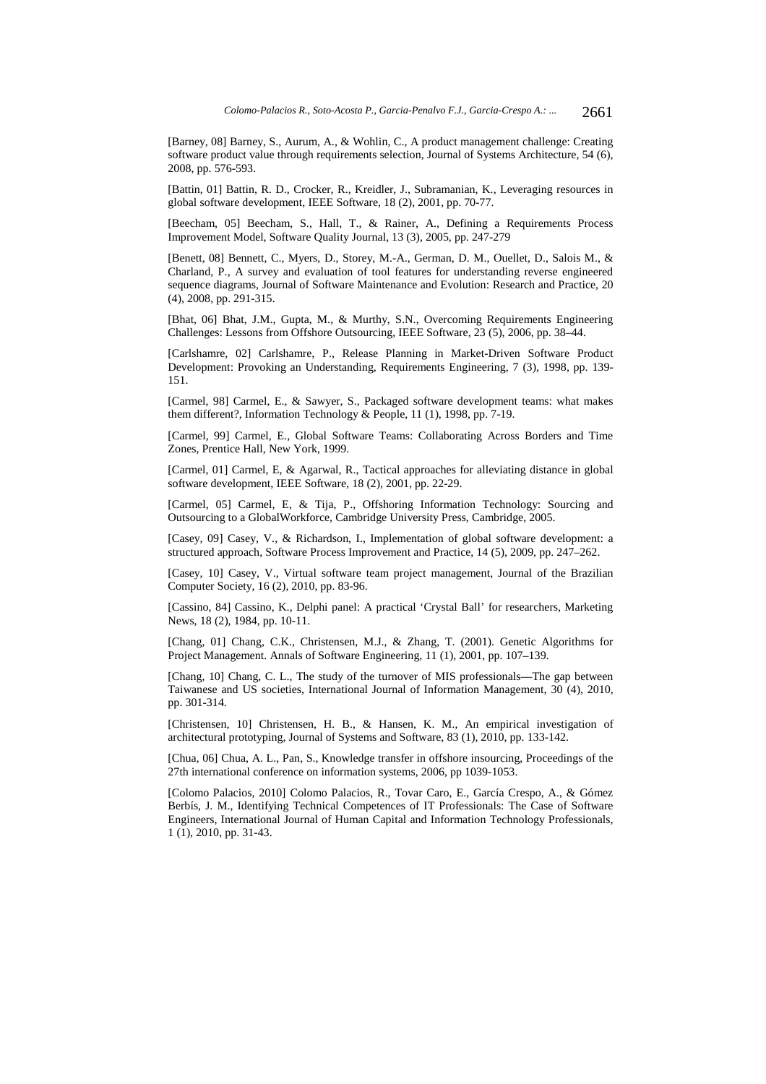[Barney, 08] Barney, S., Aurum, A., & Wohlin, C., A product management challenge: Creating software product value through requirements selection, Journal of Systems Architecture, 54 (6), 2008, pp. 576-593.

[Battin, 01] Battin, R. D., Crocker, R., Kreidler, J., Subramanian, K., Leveraging resources in global software development, IEEE Software, 18 (2), 2001, pp. 70-77.

[Beecham, 05] Beecham, S., Hall, T., & Rainer, A., Defining a Requirements Process Improvement Model, Software Quality Journal, 13 (3), 2005, pp. 247-279

[Benett, 08] Bennett, C., Myers, D., Storey, M.-A., German, D. M., Ouellet, D., Salois M., & Charland, P., A survey and evaluation of tool features for understanding reverse engineered sequence diagrams, Journal of Software Maintenance and Evolution: Research and Practice, 20 (4), 2008, pp. 291-315.

[Bhat, 06] Bhat, J.M., Gupta, M., & Murthy, S.N., Overcoming Requirements Engineering Challenges: Lessons from Offshore Outsourcing, IEEE Software, 23 (5), 2006, pp. 38–44.

[Carlshamre, 02] Carlshamre, P., Release Planning in Market-Driven Software Product Development: Provoking an Understanding, Requirements Engineering, 7 (3), 1998, pp. 139- 151.

[Carmel, 98] Carmel, E., & Sawyer, S., Packaged software development teams: what makes them different?, Information Technology & People, 11 (1), 1998, pp. 7-19.

[Carmel, 99] Carmel, E., Global Software Teams: Collaborating Across Borders and Time Zones, Prentice Hall, New York, 1999.

[Carmel, 01] Carmel, E, & Agarwal, R., Tactical approaches for alleviating distance in global software development, IEEE Software, 18 (2), 2001, pp. 22-29.

[Carmel, 05] Carmel, E, & Tija, P., Offshoring Information Technology: Sourcing and Outsourcing to a GlobalWorkforce, Cambridge University Press, Cambridge, 2005.

[Casey, 09] Casey, V., & Richardson, I., Implementation of global software development: a structured approach, Software Process Improvement and Practice, 14 (5), 2009, pp. 247–262.

[Casey, 10] Casey, V., Virtual software team project management, Journal of the Brazilian Computer Society, 16 (2), 2010, pp. 83-96.

[Cassino, 84] Cassino, K., Delphi panel: A practical 'Crystal Ball' for researchers, Marketing News, 18 (2), 1984, pp. 10-11.

[Chang, 01] Chang, C.K., Christensen, M.J., & Zhang, T. (2001). Genetic Algorithms for Project Management. Annals of Software Engineering, 11 (1), 2001, pp. 107–139.

[Chang, 10] Chang, C. L., The study of the turnover of MIS professionals—The gap between Taiwanese and US societies, International Journal of Information Management, 30 (4), 2010, pp. 301-314.

[Christensen, 10] Christensen, H. B., & Hansen, K. M., An empirical investigation of architectural prototyping, Journal of Systems and Software, 83 (1), 2010, pp. 133-142.

[Chua, 06] Chua, A. L., Pan, S., Knowledge transfer in offshore insourcing, Proceedings of the 27th international conference on information systems, 2006, pp 1039-1053.

[Colomo Palacios, 2010] Colomo Palacios, R., Tovar Caro, E., García Crespo, A., & Gómez Berbís, J. M., Identifying Technical Competences of IT Professionals: The Case of Software Engineers, International Journal of Human Capital and Information Technology Professionals, 1 (1), 2010, pp. 31-43.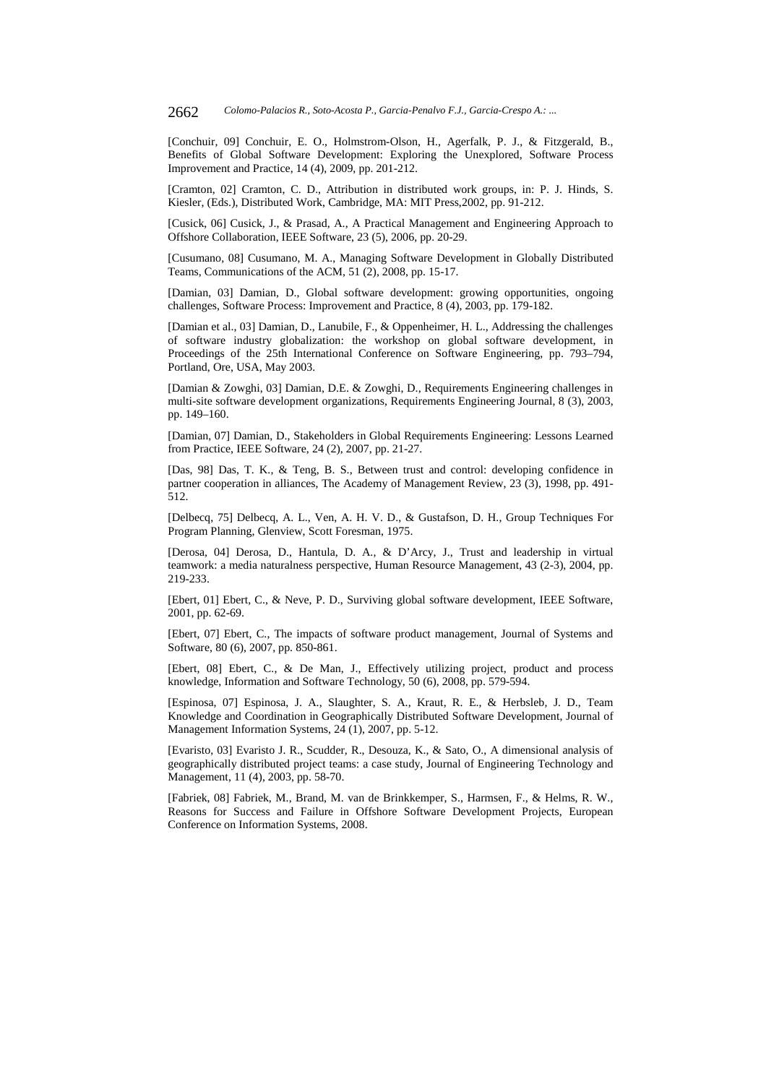[Conchuir, 09] Conchuir, E. O., Holmstrom-Olson, H., Agerfalk, P. J., & Fitzgerald, B., Benefits of Global Software Development: Exploring the Unexplored, Software Process Improvement and Practice, 14 (4), 2009, pp. 201-212.

[Cramton, 02] Cramton, C. D., Attribution in distributed work groups, in: P. J. Hinds, S. Kiesler, (Eds.), Distributed Work, Cambridge, MA: MIT Press,2002, pp. 91-212.

[Cusick, 06] Cusick, J., & Prasad, A., A Practical Management and Engineering Approach to Offshore Collaboration, IEEE Software, 23 (5), 2006, pp. 20-29.

[Cusumano, 08] Cusumano, M. A., Managing Software Development in Globally Distributed Teams, Communications of the ACM, 51 (2), 2008, pp. 15-17.

[Damian, 03] Damian, D., Global software development: growing opportunities, ongoing challenges, Software Process: Improvement and Practice, 8 (4), 2003, pp. 179-182.

[Damian et al., 03] Damian, D., Lanubile, F., & Oppenheimer, H. L., Addressing the challenges of software industry globalization: the workshop on global software development, in Proceedings of the 25th International Conference on Software Engineering, pp. 793–794, Portland, Ore, USA, May 2003.

[Damian & Zowghi, 03] Damian, D.E. & Zowghi, D., Requirements Engineering challenges in multi-site software development organizations, Requirements Engineering Journal, 8 (3), 2003, pp. 149–160.

[Damian, 07] Damian, D., Stakeholders in Global Requirements Engineering: Lessons Learned from Practice, IEEE Software, 24 (2), 2007, pp. 21-27.

[Das, 98] Das, T. K., & Teng, B. S., Between trust and control: developing confidence in partner cooperation in alliances, The Academy of Management Review, 23 (3), 1998, pp. 491- 512.

[Delbecq, 75] Delbecq, A. L., Ven, A. H. V. D., & Gustafson, D. H., Group Techniques For Program Planning, Glenview, Scott Foresman, 1975.

[Derosa, 04] Derosa, D., Hantula, D. A., & D'Arcy, J., Trust and leadership in virtual teamwork: a media naturalness perspective, Human Resource Management, 43 (2-3), 2004, pp. 219-233.

[Ebert, 01] Ebert, C., & Neve, P. D., Surviving global software development, IEEE Software, 2001, pp. 62-69.

[Ebert, 07] Ebert, C., The impacts of software product management, Journal of Systems and Software, 80 (6), 2007, pp. 850-861.

[Ebert, 08] Ebert, C., & De Man, J., Effectively utilizing project, product and process knowledge, Information and Software Technology, 50 (6), 2008, pp. 579-594.

[Espinosa, 07] Espinosa, J. A., Slaughter, S. A., Kraut, R. E., & Herbsleb, J. D., Team Knowledge and Coordination in Geographically Distributed Software Development, Journal of Management Information Systems, 24 (1), 2007, pp. 5-12.

[Evaristo, 03] Evaristo J. R., Scudder, R., Desouza, K., & Sato, O., A dimensional analysis of geographically distributed project teams: a case study, Journal of Engineering Technology and Management, 11 (4), 2003, pp. 58-70.

[Fabriek, 08] Fabriek, M., Brand, M. van de Brinkkemper, S., Harmsen, F., & Helms, R. W., Reasons for Success and Failure in Offshore Software Development Projects, European Conference on Information Systems, 2008.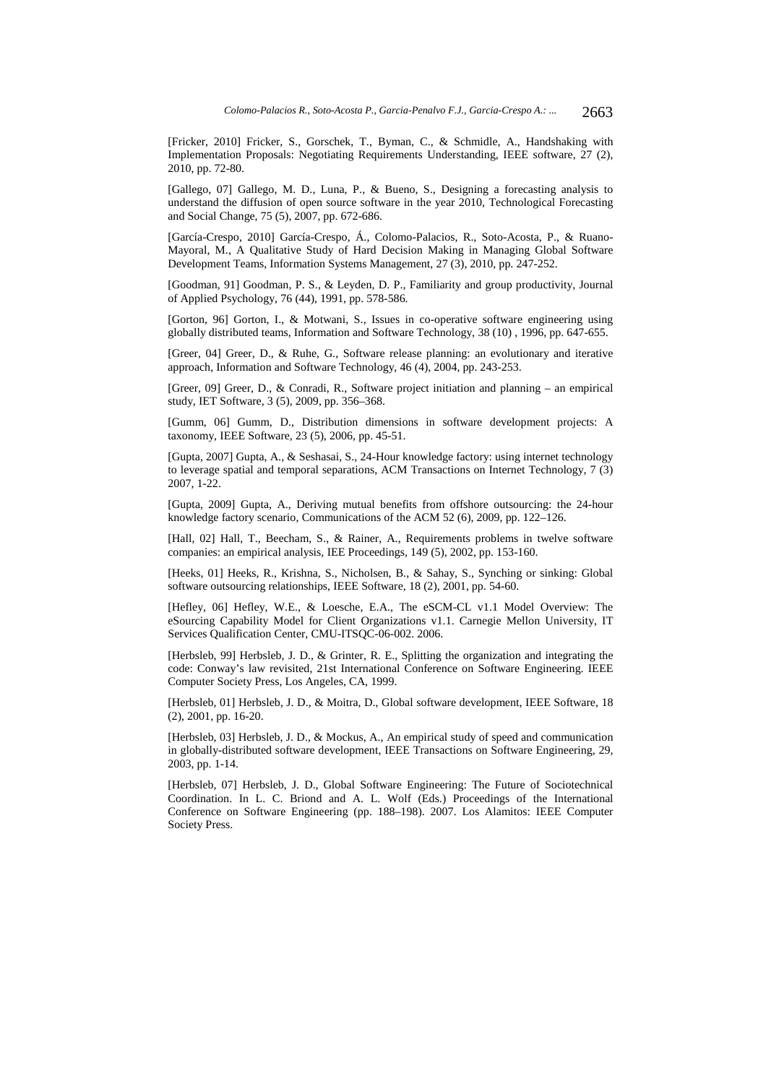[Fricker, 2010] Fricker, S., Gorschek, T., Byman, C., & Schmidle, A., Handshaking with Implementation Proposals: Negotiating Requirements Understanding, IEEE software, 27 (2), 2010, pp. 72-80.

[Gallego, 07] Gallego, M. D., Luna, P., & Bueno, S., Designing a forecasting analysis to understand the diffusion of open source software in the year 2010, Technological Forecasting and Social Change, 75 (5), 2007, pp. 672-686.

[García-Crespo, 2010] García-Crespo, Á., Colomo-Palacios, R., Soto-Acosta, P., & Ruano-Mayoral, M., A Qualitative Study of Hard Decision Making in Managing Global Software Development Teams, Information Systems Management, 27 (3), 2010, pp. 247-252.

[Goodman, 91] Goodman, P. S., & Leyden, D. P., Familiarity and group productivity, Journal of Applied Psychology, 76 (44), 1991, pp. 578-586.

[Gorton, 96] Gorton, I., & Motwani, S., Issues in co-operative software engineering using globally distributed teams, Information and Software Technology, 38 (10) , 1996, pp. 647-655.

[Greer, 04] Greer, D., & Ruhe, G., Software release planning: an evolutionary and iterative approach, Information and Software Technology, 46 (4), 2004, pp. 243-253.

[Greer, 09] Greer, D., & Conradi, R., Software project initiation and planning – an empirical study, IET Software, 3 (5), 2009, pp. 356–368.

[Gumm, 06] Gumm, D., Distribution dimensions in software development projects: A taxonomy, IEEE Software, 23 (5), 2006, pp. 45-51.

[Gupta, 2007] Gupta, A., & Seshasai, S., 24-Hour knowledge factory: using internet technology to leverage spatial and temporal separations, ACM Transactions on Internet Technology, 7 (3) 2007, 1-22.

[Gupta, 2009] Gupta, A., Deriving mutual benefits from offshore outsourcing: the 24-hour knowledge factory scenario, Communications of the ACM 52 (6), 2009, pp. 122–126.

[Hall, 02] Hall, T., Beecham, S., & Rainer, A., Requirements problems in twelve software companies: an empirical analysis, IEE Proceedings, 149 (5), 2002, pp. 153-160.

[Heeks, 01] Heeks, R., Krishna, S., Nicholsen, B., & Sahay, S., Synching or sinking: Global software outsourcing relationships, IEEE Software, 18 (2), 2001, pp. 54-60.

[Hefley, 06] Hefley, W.E., & Loesche, E.A., The eSCM-CL v1.1 Model Overview: The eSourcing Capability Model for Client Organizations v1.1. Carnegie Mellon University, IT Services Qualification Center, CMU-ITSQC-06-002. 2006.

[Herbsleb, 99] Herbsleb, J. D., & Grinter, R. E., Splitting the organization and integrating the code: Conway's law revisited, 21st International Conference on Software Engineering. IEEE Computer Society Press, Los Angeles, CA, 1999.

[Herbsleb, 01] Herbsleb, J. D., & Moitra, D., Global software development, IEEE Software, 18 (2), 2001, pp. 16-20.

[Herbsleb, 03] Herbsleb, J. D., & Mockus, A., An empirical study of speed and communication in globally-distributed software development, IEEE Transactions on Software Engineering, 29, 2003, pp. 1-14.

[Herbsleb, 07] Herbsleb, J. D., Global Software Engineering: The Future of Sociotechnical Coordination. In L. C. Briond and A. L. Wolf (Eds.) Proceedings of the International Conference on Software Engineering (pp. 188–198). 2007. Los Alamitos: IEEE Computer Society Press.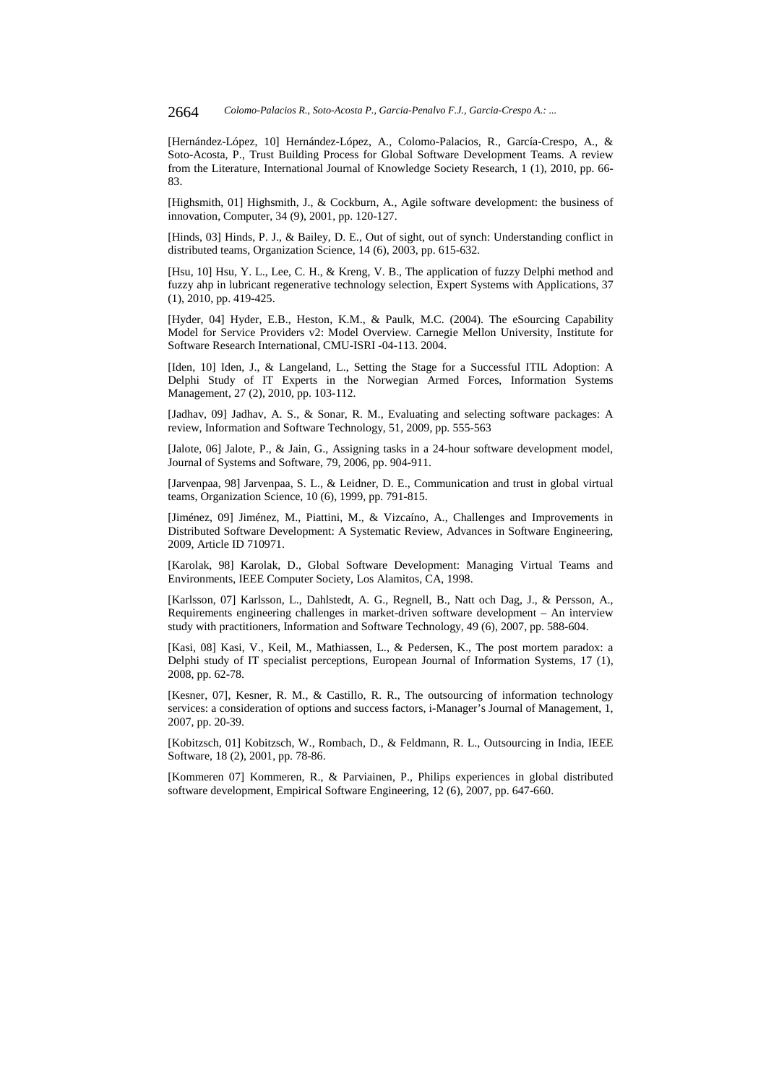[Hernández-López, 10] Hernández-López, A., Colomo-Palacios, R., García-Crespo, A., & Soto-Acosta, P., Trust Building Process for Global Software Development Teams. A review from the Literature, International Journal of Knowledge Society Research, 1 (1), 2010, pp. 66- 83.

[Highsmith, 01] Highsmith, J., & Cockburn, A., Agile software development: the business of innovation, Computer, 34 (9), 2001, pp. 120-127.

[Hinds, 03] Hinds, P. J., & Bailey, D. E., Out of sight, out of synch: Understanding conflict in distributed teams, Organization Science, 14 (6), 2003, pp. 615-632.

[Hsu, 10] Hsu, Y. L., Lee, C. H., & Kreng, V. B., The application of fuzzy Delphi method and fuzzy ahp in lubricant regenerative technology selection, Expert Systems with Applications, 37 (1), 2010, pp. 419-425.

[Hyder, 04] Hyder, E.B., Heston, K.M., & Paulk, M.C. (2004). The eSourcing Capability Model for Service Providers v2: Model Overview. Carnegie Mellon University, Institute for Software Research International, CMU-ISRI -04-113. 2004.

[Iden, 10] Iden, J., & Langeland, L., Setting the Stage for a Successful ITIL Adoption: A Delphi Study of IT Experts in the Norwegian Armed Forces, Information Systems Management, 27 (2), 2010, pp. 103-112.

[Jadhav, 09] Jadhav, A. S., & Sonar, R. M., Evaluating and selecting software packages: A review, Information and Software Technology, 51, 2009, pp. 555-563

[Jalote, 06] Jalote, P., & Jain, G., Assigning tasks in a 24-hour software development model, Journal of Systems and Software, 79, 2006, pp. 904-911.

[Jarvenpaa, 98] Jarvenpaa, S. L., & Leidner, D. E., Communication and trust in global virtual teams, Organization Science, 10 (6), 1999, pp. 791-815.

[Jiménez, 09] Jiménez, M., Piattini, M., & Vizcaíno, A., Challenges and Improvements in Distributed Software Development: A Systematic Review, Advances in Software Engineering, 2009, Article ID 710971.

[Karolak, 98] Karolak, D., Global Software Development: Managing Virtual Teams and Environments, IEEE Computer Society, Los Alamitos, CA, 1998.

[Karlsson, 07] Karlsson, L., Dahlstedt, A. G., Regnell, B., Natt och Dag, J., & Persson, A., Requirements engineering challenges in market-driven software development – An interview study with practitioners, Information and Software Technology, 49 (6), 2007, pp. 588-604.

[Kasi, 08] Kasi, V., Keil, M., Mathiassen, L., & Pedersen, K., The post mortem paradox: a Delphi study of IT specialist perceptions, European Journal of Information Systems, 17 (1), 2008, pp. 62-78.

[Kesner, 07], Kesner, R. M., & Castillo, R. R., The outsourcing of information technology services: a consideration of options and success factors, i-Manager's Journal of Management, 1, 2007, pp. 20-39.

[Kobitzsch, 01] Kobitzsch, W., Rombach, D., & Feldmann, R. L., Outsourcing in India, IEEE Software, 18 (2), 2001, pp. 78-86.

[Kommeren 07] Kommeren, R., & Parviainen, P., Philips experiences in global distributed software development, Empirical Software Engineering, 12 (6), 2007, pp. 647-660.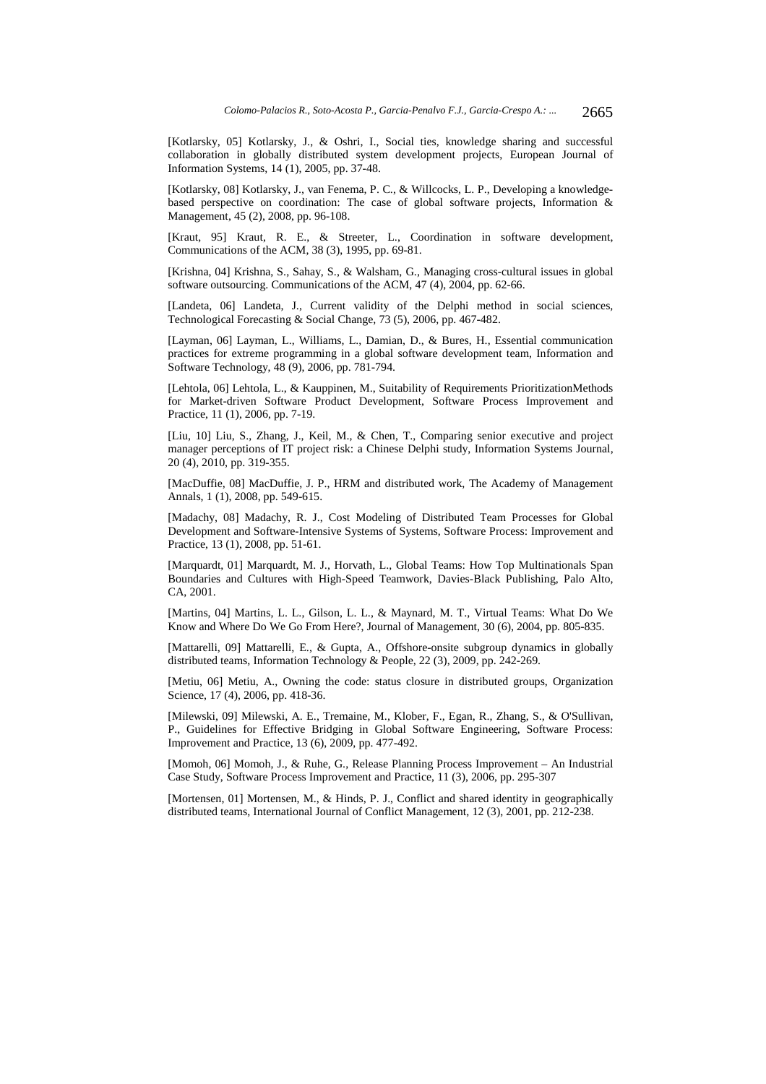[Kotlarsky, 05] Kotlarsky, J., & Oshri, I., Social ties, knowledge sharing and successful collaboration in globally distributed system development projects, European Journal of Information Systems, 14 (1), 2005, pp. 37-48.

[Kotlarsky, 08] Kotlarsky, J., van Fenema, P. C., & Willcocks, L. P., Developing a knowledgebased perspective on coordination: The case of global software projects, Information & Management, 45 (2), 2008, pp. 96-108.

[Kraut, 95] Kraut, R. E., & Streeter, L., Coordination in software development, Communications of the ACM, 38 (3), 1995, pp. 69-81.

[Krishna, 04] Krishna, S., Sahay, S., & Walsham, G., Managing cross-cultural issues in global software outsourcing. Communications of the ACM, 47 (4), 2004, pp. 62-66.

[Landeta, 06] Landeta, J., Current validity of the Delphi method in social sciences, Technological Forecasting & Social Change, 73 (5), 2006, pp. 467-482.

[Layman, 06] Layman, L., Williams, L., Damian, D., & Bures, H., Essential communication practices for extreme programming in a global software development team, Information and Software Technology, 48 (9), 2006, pp. 781-794.

[Lehtola, 06] Lehtola, L., & Kauppinen, M., Suitability of Requirements PrioritizationMethods for Market-driven Software Product Development, Software Process Improvement and Practice, 11 (1), 2006, pp. 7-19.

[Liu, 10] Liu, S., Zhang, J., Keil, M., & Chen, T., Comparing senior executive and project manager perceptions of IT project risk: a Chinese Delphi study, Information Systems Journal, 20 (4), 2010, pp. 319-355.

[MacDuffie, 08] MacDuffie, J. P., HRM and distributed work, The Academy of Management Annals, 1 (1), 2008, pp. 549-615.

[Madachy, 08] Madachy, R. J., Cost Modeling of Distributed Team Processes for Global Development and Software-Intensive Systems of Systems, Software Process: Improvement and Practice, 13 (1), 2008, pp. 51-61.

[Marquardt, 01] Marquardt, M. J., Horvath, L., Global Teams: How Top Multinationals Span Boundaries and Cultures with High-Speed Teamwork, Davies-Black Publishing, Palo Alto, CA, 2001.

[Martins, 04] Martins, L. L., Gilson, L. L., & Maynard, M. T., Virtual Teams: What Do We Know and Where Do We Go From Here?, Journal of Management, 30 (6), 2004, pp. 805-835.

[Mattarelli, 09] Mattarelli, E., & Gupta, A., Offshore-onsite subgroup dynamics in globally distributed teams, Information Technology & People, 22 (3), 2009, pp. 242-269.

[Metiu, 06] Metiu, A., Owning the code: status closure in distributed groups, Organization Science, 17 (4), 2006, pp. 418-36.

[Milewski, 09] Milewski, A. E., Tremaine, M., Klober, F., Egan, R., Zhang, S., & O'Sullivan, P., Guidelines for Effective Bridging in Global Software Engineering, Software Process: Improvement and Practice, 13 (6), 2009, pp. 477-492.

[Momoh, 06] Momoh, J., & Ruhe, G., Release Planning Process Improvement – An Industrial Case Study, Software Process Improvement and Practice, 11 (3), 2006, pp. 295-307

[Mortensen, 01] Mortensen, M., & Hinds, P. J., Conflict and shared identity in geographically distributed teams, International Journal of Conflict Management, 12 (3), 2001, pp. 212-238.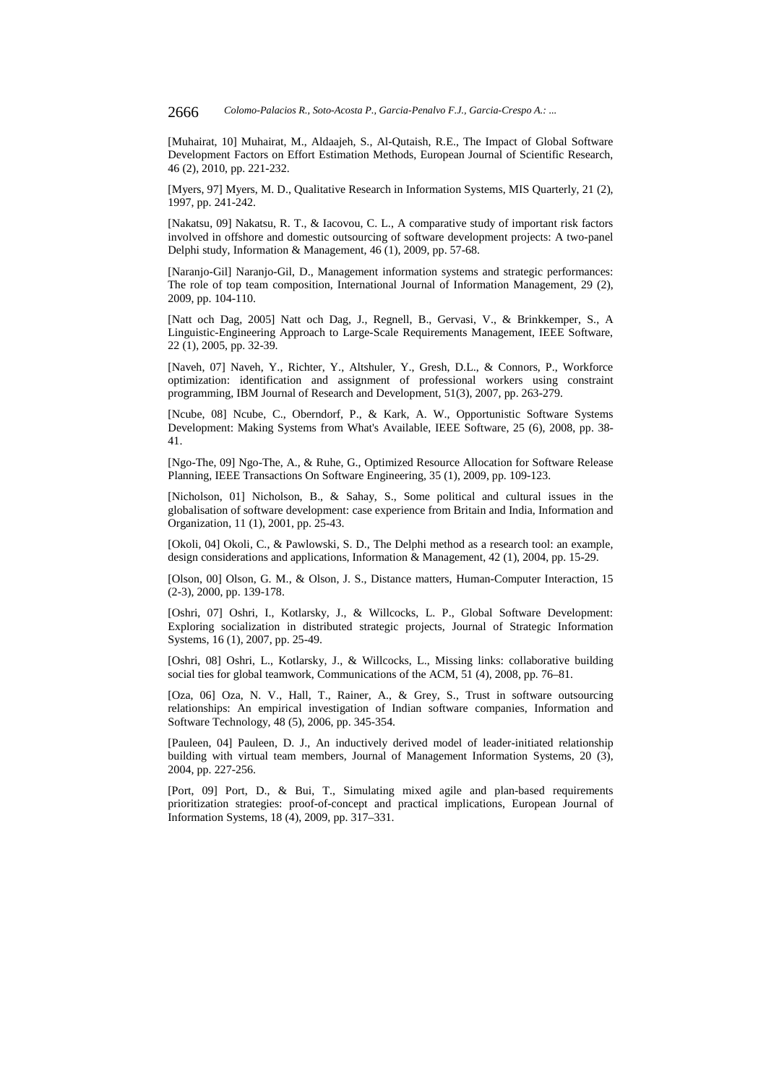[Muhairat, 10] Muhairat, M., Aldaajeh, S., Al-Qutaish, R.E., The Impact of Global Software Development Factors on Effort Estimation Methods, European Journal of Scientific Research, 46 (2), 2010, pp. 221-232.

[Myers, 97] Myers, M. D., Qualitative Research in Information Systems, MIS Quarterly, 21 (2), 1997, pp. 241-242.

[Nakatsu, 09] Nakatsu, R. T., & Iacovou, C. L., A comparative study of important risk factors involved in offshore and domestic outsourcing of software development projects: A two-panel Delphi study, Information & Management, 46 (1), 2009, pp. 57-68.

[Naranjo-Gil] Naranjo-Gil, D., Management information systems and strategic performances: The role of top team composition, International Journal of Information Management, 29 (2), 2009, pp. 104-110.

[Natt och Dag, 2005] Natt och Dag, J., Regnell, B., Gervasi, V., & Brinkkemper, S., A Linguistic-Engineering Approach to Large-Scale Requirements Management, IEEE Software, 22 (1), 2005, pp. 32-39.

[Naveh, 07] Naveh, Y., Richter, Y., Altshuler, Y., Gresh, D.L., & Connors, P., Workforce optimization: identification and assignment of professional workers using constraint programming, IBM Journal of Research and Development, 51(3), 2007, pp. 263-279.

[Ncube, 08] Ncube, C., Oberndorf, P., & Kark, A. W., Opportunistic Software Systems Development: Making Systems from What's Available, IEEE Software, 25 (6), 2008, pp. 38- 41.

[Ngo-The, 09] Ngo-The, A., & Ruhe, G., Optimized Resource Allocation for Software Release Planning, IEEE Transactions On Software Engineering, 35 (1), 2009, pp. 109-123.

[Nicholson, 01] Nicholson, B., & Sahay, S., Some political and cultural issues in the globalisation of software development: case experience from Britain and India, Information and Organization, 11 (1), 2001, pp. 25-43.

[Okoli, 04] Okoli, C., & Pawlowski, S. D., The Delphi method as a research tool: an example, design considerations and applications, Information & Management, 42 (1), 2004, pp. 15-29.

[Olson, 00] Olson, G. M., & Olson, J. S., Distance matters, Human-Computer Interaction, 15 (2-3), 2000, pp. 139-178.

[Oshri, 07] Oshri, I., Kotlarsky, J., & Willcocks, L. P., Global Software Development: Exploring socialization in distributed strategic projects, Journal of Strategic Information Systems, 16 (1), 2007, pp. 25-49.

[Oshri, 08] Oshri, L., Kotlarsky, J., & Willcocks, L., Missing links: collaborative building social ties for global teamwork, Communications of the ACM, 51 (4), 2008, pp. 76–81.

[Oza, 06] Oza, N. V., Hall, T., Rainer, A., & Grey, S., Trust in software outsourcing relationships: An empirical investigation of Indian software companies, Information and Software Technology, 48 (5), 2006, pp. 345-354.

[Pauleen, 04] Pauleen, D. J., An inductively derived model of leader-initiated relationship building with virtual team members, Journal of Management Information Systems, 20 (3), 2004, pp. 227-256.

[Port, 09] Port, D., & Bui, T., Simulating mixed agile and plan-based requirements prioritization strategies: proof-of-concept and practical implications, European Journal of Information Systems, 18 (4), 2009, pp. 317–331.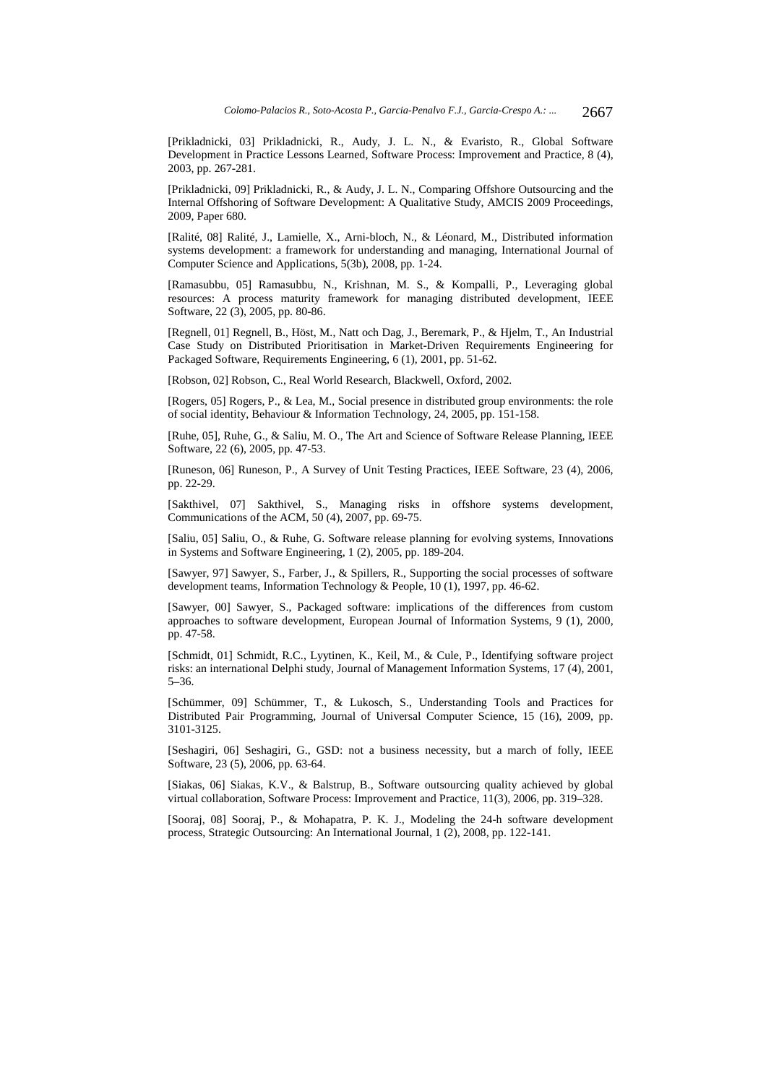[Prikladnicki, 03] Prikladnicki, R., Audy, J. L. N., & Evaristo, R., Global Software Development in Practice Lessons Learned, Software Process: Improvement and Practice, 8 (4), 2003, pp. 267-281.

[Prikladnicki, 09] Prikladnicki, R., & Audy, J. L. N., Comparing Offshore Outsourcing and the Internal Offshoring of Software Development: A Qualitative Study, AMCIS 2009 Proceedings, 2009, Paper 680.

[Ralité, 08] Ralité, J., Lamielle, X., Arni-bloch, N., & Léonard, M., Distributed information systems development: a framework for understanding and managing, International Journal of Computer Science and Applications, 5(3b), 2008, pp. 1-24.

[Ramasubbu, 05] Ramasubbu, N., Krishnan, M. S., & Kompalli, P., Leveraging global resources: A process maturity framework for managing distributed development, IEEE Software, 22 (3), 2005, pp. 80-86.

[Regnell, 01] Regnell, B., Höst, M., Natt och Dag, J., Beremark, P., & Hjelm, T., An Industrial Case Study on Distributed Prioritisation in Market-Driven Requirements Engineering for Packaged Software, Requirements Engineering, 6 (1), 2001, pp. 51-62.

[Robson, 02] Robson, C., Real World Research, Blackwell, Oxford, 2002.

[Rogers, 05] Rogers, P., & Lea, M., Social presence in distributed group environments: the role of social identity, Behaviour & Information Technology, 24, 2005, pp. 151-158.

[Ruhe, 05], Ruhe, G., & Saliu, M. O., The Art and Science of Software Release Planning, IEEE Software, 22 (6), 2005, pp. 47-53.

[Runeson, 06] Runeson, P., A Survey of Unit Testing Practices, IEEE Software, 23 (4), 2006, pp. 22-29.

[Sakthivel, 07] Sakthivel, S., Managing risks in offshore systems development, Communications of the ACM, 50 (4), 2007, pp. 69-75.

[Saliu, 05] Saliu, O., & Ruhe, G. Software release planning for evolving systems, Innovations in Systems and Software Engineering, 1 (2), 2005, pp. 189-204.

[Sawyer, 97] Sawyer, S., Farber, J., & Spillers, R., Supporting the social processes of software development teams, Information Technology & People, 10 (1), 1997, pp. 46-62.

[Sawyer, 00] Sawyer, S., Packaged software: implications of the differences from custom approaches to software development, European Journal of Information Systems, 9 (1), 2000, pp. 47-58.

[Schmidt, 01] Schmidt, R.C., Lyytinen, K., Keil, M., & Cule, P., Identifying software project risks: an international Delphi study, Journal of Management Information Systems, 17 (4), 2001, 5–36.

[Schümmer, 09] Schümmer, T., & Lukosch, S., Understanding Tools and Practices for Distributed Pair Programming, Journal of Universal Computer Science, 15 (16), 2009, pp. 3101-3125.

[Seshagiri, 06] Seshagiri, G., GSD: not a business necessity, but a march of folly, IEEE Software, 23 (5), 2006, pp. 63-64.

[Siakas, 06] Siakas, K.V., & Balstrup, B., Software outsourcing quality achieved by global virtual collaboration, Software Process: Improvement and Practice, 11(3), 2006, pp. 319–328.

[Sooraj, 08] Sooraj, P., & Mohapatra, P. K. J., Modeling the 24-h software development process, Strategic Outsourcing: An International Journal, 1 (2), 2008, pp. 122-141.